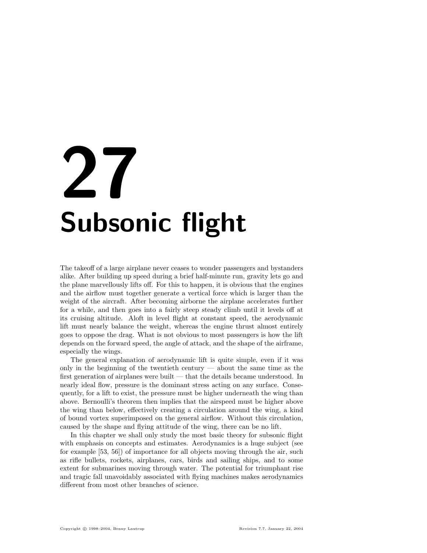# 27 Subsonic flight

The takeoff of a large airplane never ceases to wonder passengers and bystanders alike. After building up speed during a brief half-minute run, gravity lets go and the plane marvellously lifts off. For this to happen, it is obvious that the engines and the airflow must together generate a vertical force which is larger than the weight of the aircraft. After becoming airborne the airplane accelerates further for a while, and then goes into a fairly steep steady climb until it levels off at its cruising altitude. Aloft in level flight at constant speed, the aerodynamic lift must nearly balance the weight, whereas the engine thrust almost entirely goes to oppose the drag. What is not obvious to most passengers is how the lift depends on the forward speed, the angle of attack, and the shape of the airframe, especially the wings.

The general explanation of aerodynamic lift is quite simple, even if it was only in the beginning of the twentieth century — about the same time as the first generation of airplanes were built — that the details became understood. In nearly ideal flow, pressure is the dominant stress acting on any surface. Consequently, for a lift to exist, the pressure must be higher underneath the wing than above. Bernoulli's theorem then implies that the airspeed must be higher above the wing than below, effectively creating a circulation around the wing, a kind of bound vortex superimposed on the general airflow. Without this circulation, caused by the shape and flying attitude of the wing, there can be no lift.

In this chapter we shall only study the most basic theory for subsonic flight with emphasis on concepts and estimates. Aerodynamics is a huge subject (see for example [53, 56]) of importance for all objects moving through the air, such as rifle bullets, rockets, airplanes, cars, birds and sailing ships, and to some extent for submarines moving through water. The potential for triumphant rise and tragic fall unavoidably associated with flying machines makes aerodynamics different from most other branches of science.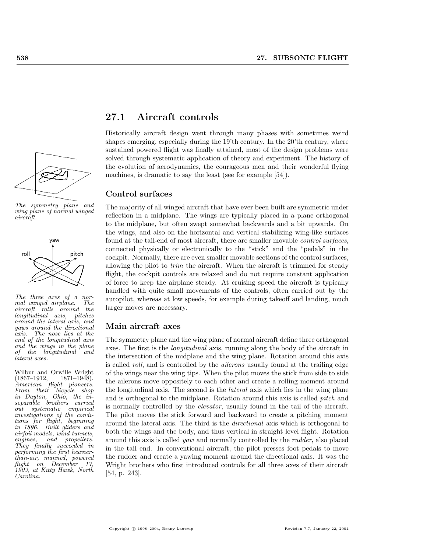

The symmetry plane and wing plane of normal winged aircraft.



The three axes of a normal winged airplane. The aircraft rolls around the longitudinal axis, pitches around the lateral axis, and yaws around the directional<br>axis. The nose lies at the The nose lies at the end of the longitudinal axis and the wings in the plane of the longitudinal and lateral axes.

Wilbur and Orwille Wright  $(1867-1912, 1871-1948)$ .  $(1871–1948)$ . American flight pioneers.<br>From their bicycle shop  $From$  their in Dayton, Ohio, the inseparable brothers carried out systematic empirical investigations of the conditions for flight, beginning in 1896. Built gliders and airfoil models, wind tunnels, engines, and propellers. They finally succeeded in performing the first heavierthan-air, manned, powered flight on December 17, 1903, at Kitty Hawk, North Carolina.

# 27.1 Aircraft controls

Historically aircraft design went through many phases with sometimes weird shapes emerging, especially during the 19'th century. In the 20'th century, where sustained powered flight was finally attained, most of the design problems were solved through systematic application of theory and experiment. The history of the evolution of aerodynamics, the courageous men and their wonderful flying machines, is dramatic to say the least (see for example [54]).

## Control surfaces

The majority of all winged aircraft that have ever been built are symmetric under reflection in a midplane. The wings are typically placed in a plane orthogonal to the midplane, but often swept somewhat backwards and a bit upwards. On the wings, and also on the horizontal and vertical stabilizing wing-like surfaces found at the tail-end of most aircraft, there are smaller movable control surfaces, connected physically or electronically to the "stick" and the "pedals" in the cockpit. Normally, there are even smaller movable sections of the control surfaces, allowing the pilot to trim the aircraft. When the aircraft is trimmed for steady flight, the cockpit controls are relaxed and do not require constant application of force to keep the airplane steady. At cruising speed the aircraft is typically handled with quite small movements of the controls, often carried out by the autopilot, whereas at low speeds, for example during takeoff and landing, much larger moves are necessary.

#### Main aircraft axes

The symmetry plane and the wing plane of normal aircraft define three orthogonal axes. The first is the longitudinal axis, running along the body of the aircraft in the intersection of the midplane and the wing plane. Rotation around this axis is called roll, and is controlled by the ailerons usually found at the trailing edge of the wings near the wing tips. When the pilot moves the stick from side to side the ailerons move oppositely to each other and create a rolling moment around the longitudinal axis. The second is the lateral axis which lies in the wing plane and is orthogonal to the midplane. Rotation around this axis is called pitch and is normally controlled by the elevator, usually found in the tail of the aircraft. The pilot moves the stick forward and backward to create a pitching moment around the lateral axis. The third is the directional axis which is orthogonal to both the wings and the body, and thus vertical in straight level flight. Rotation around this axis is called yaw and normally controlled by the rudder, also placed in the tail end. In conventional aircraft, the pilot presses foot pedals to move the rudder and create a yawing moment around the directional axis. It was the Wright brothers who first introduced controls for all three axes of their aircraft [54, p. 243].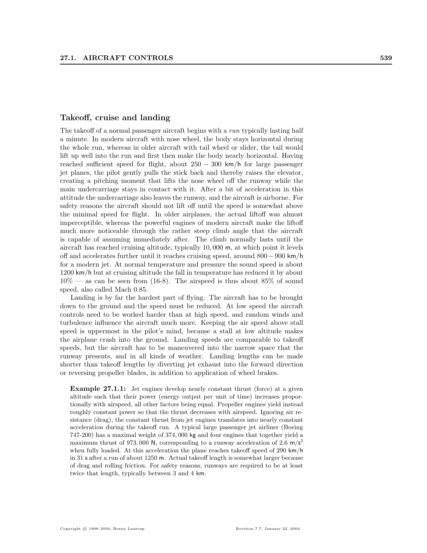## Takeoff, cruise and landing

The takeoff of a normal passenger aircraft begins with a *run* typically lasting half a minute. In modern aircraft with nose wheel, the body stays horizontal during the whole run, whereas in older aircraft with tail wheel or slider, the tail would lift up well into the run and first then make the body nearly horizontal. Having reached sufficient speed for flight, about 250 − 300 km/h for large passenger jet planes, the pilot gently pulls the stick back and thereby raises the elevator, creating a pitching moment that lifts the nose wheel off the runway while the main undercarriage stays in contact with it. After a bit of acceleration in this attitude the undercarriage also leaves the runway, and the aircraft is airborne. For safety reasons the aircraft should not lift off until the speed is somewhat above the minimal speed for flight. In older airplanes, the actual liftoff was almost imperceptible, whereas the powerful engines of modern aircraft make the liftoff much more noticeable through the rather steep climb angle that the aircraft is capable of assuming immediately after. The climb normally lasts until the aircraft has reached cruising altitude, typically 10, 000 m, at which point it levels off and accelerates further until it reaches cruising speed, around 800 −900 km/h for a modern jet. At normal temperature and pressure the sound speed is about 1200 km/h but at cruising altitude the fall in temperature has reduced it by about 10% — as can be seen from (16-8). The airspeed is thus about 85% of sound speed, also called Mach 0.85.

Landing is by far the hardest part of flying. The aircraft has to be brought down to the ground and the speed must be reduced. At low speed the aircraft controls need to be worked harder than at high speed, and random winds and turbulence influence the aircraft much more. Keeping the air speed above stall speed is uppermost in the pilot's mind, because a stall at low altitude makes the airplane crash into the ground. Landing speeds are comparable to takeoff speeds, but the aircraft has to be maneuvered into the narrow space that the runway presents, and in all kinds of weather. Landing lengths can be made shorter than takeoff lengths by diverting jet exhaust into the forward direction or reversing propeller blades, in addition to application of wheel brakes.

Example 27.1.1: Jet engines develop nearly constant thrust (force) at a given altitude such that their power (energy output per unit of time) increases proportionally with airspeed, all other factors being equal. Propeller engines yield instead roughly constant power so that the thrust decreases with airspeed. Ignoring air resistance (drag), the constant thrust from jet engines translates into nearly constant acceleration during the takeoff run. A typical large passenger jet airliner (Boeing 747-200) has a maximal weight of 374, 000 kg and four engines that together yield a maximum thrust of 973,000 N, corresponding to a runway acceleration of 2.6  $m/s^2$ when fully loaded. At this acceleration the plane reaches takeoff speed of 290 km/h in 31 s after a run of about 1250 m. Actual takeoff length is somewhat larger because of drag and rolling friction. For safety reasons, runways are required to be at least twice that length, typically between 3 and 4 km.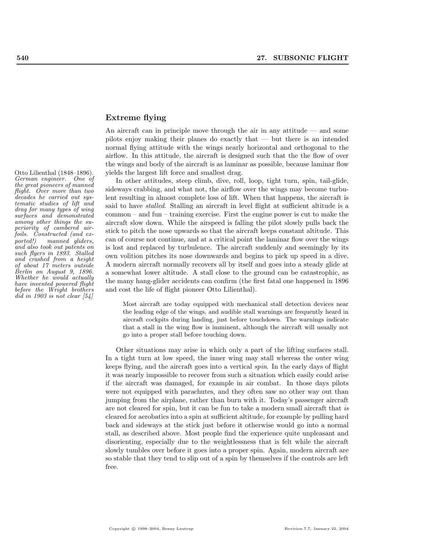## Extreme flying

An aircraft can in principle move through the air in any attitude — and some pilots enjoy making their planes do exactly that  $-$  but there is an intended normal flying attitude with the wings nearly horizontal and orthogonal to the airflow. In this attitude, the aircraft is designed such that the the flow of over the wings and body of the aircraft is as laminar as possible, because laminar flow Otto Lilienthal (1848–1896). yields the largest lift force and smallest drag.

> In other attitudes, steep climb, dive, roll, loop, tight turn, spin, tail-glide, sideways crabbing, and what not, the airflow over the wings may become turbulent resulting in almost complete loss of lift. When that happens, the aircraft is said to have stalled. Stalling an aircraft in level flight at sufficient altitude is a common – and fun – training exercise. First the engine power is cut to make the aircraft slow down. While the airspeed is falling the pilot slowly pulls back the stick to pitch the nose upwards so that the aircraft keeps constant altitude. This can of course not continue, and at a critical point the laminar flow over the wings is lost and replaced by turbulence. The aircraft suddenly and seemingly by its own volition pitches its nose downwards and begins to pick up speed in a dive. A modern aircraft normally recovers all by itself and goes into a steady glide at a somewhat lower altitude. A stall close to the ground can be catastrophic, as the many hang-glider accidents can confirm (the first fatal one happened in 1896 and cost the life of flight pioneer Otto Lilienthal).

Most aircraft are today equipped with mechanical stall detection devices near the leading edge of the wings, and audible stall warnings are frequently heard in aircraft cockpits during landing, just before touchdown. The warnings indicate that a stall in the wing flow is imminent, although the aircraft will usually not go into a proper stall before touching down.

Other situations may arise in which only a part of the lifting surfaces stall. In a tight turn at low speed, the inner wing may stall whereas the outer wing keeps flying, and the aircraft goes into a vertical spin. In the early days of flight it was nearly impossible to recover from such a situation which easily could arise if the aircraft was damaged, for example in air combat. In those days pilots were not equipped with parachutes, and they often saw no other way out than jumping from the airplane, rather than burn with it. Today's passenger aircraft are not cleared for spin, but it can be fun to take a modern small aircraft that is cleared for aerobatics into a spin at sufficient altitude, for example by pulling hard back and sideways at the stick just before it otherwise would go into a normal stall, as described above. Most people find the experience quite unpleasant and disorienting, especially due to the weightlessness that is felt while the aircraft slowly tumbles over before it goes into a proper spin. Again, modern aircraft are so stable that they tend to slip out of a spin by themselves if the controls are left free.

German engineer. One of the great pioneers of manned flight. Over more than two decades he carried out systematic studies of lift and drag for many types of wing surfaces and demonstrated among other things the superiority of cambered airfoils. Constructed (and exported!) manned gliders, and also took out patents on such flyers in 1893. Stalled and crashed from a height of about 17 meters outside Berlin on August 9, 1896. Whether he would actually have invented powered flight before the Wright brothers did in 1903 is not clear  $[54]$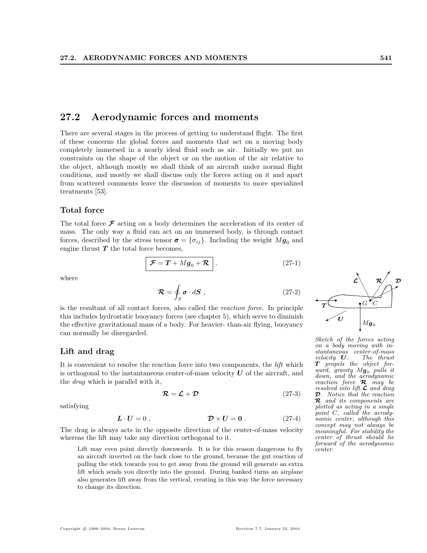# 27.2 Aerodynamic forces and moments

There are several stages in the process of getting to understand flight. The first of these concerns the global forces and moments that act on a moving body completely immersed in a nearly ideal fluid such as air. Initially we put no constraints on the shape of the object or on the motion of the air relative to the object, although mostly we shall think of an aircraft under normal flight conditions, and mostly we shall discuss only the forces acting on it and apart from scattered comments leave the discussion of moments to more specialized treatments [53].

## Total force

The total force  $\mathcal F$  acting on a body determines the acceleration of its center of mass. The only way a fluid can act on an immersed body, is through contact forces, described by the stress tensor  $\boldsymbol{\sigma} = {\sigma_{ij}}$ . Including the weight  $M\boldsymbol{g}_0$  and engine thrust  $T$  the total force becomes,

$$
\mathcal{F} = T + Mg_0 + \mathcal{R} \tag{27-1}
$$

where

$$
\mathcal{R} = \oint_{S} \boldsymbol{\sigma} \cdot d\mathbf{S} , \qquad (27-2)
$$

is the resultant of all contact forces, also called the reaction force. In principle this includes hydrostatic buoyancy forces (see chapter 5), which serve to diminish the effective gravitational mass of a body. For heavier- than-air flying, buoyancy can normally be disregarded.

#### Lift and drag

It is convenient to resolve the reaction force into two components, the lift which is orthogonal to the instantaneous center-of-mass velocity  $U$  of the aircraft, and the drag which is parallel with it,

$$
\mathcal{R} = \mathcal{L} + \mathcal{D} \tag{27-3}
$$

satisfying

$$
L \cdot U = 0 , \qquad \qquad \mathcal{D} \times U = 0 . \qquad (27-4)
$$

The drag is always acts in the opposite direction of the center-of-mass velocity whereas the lift may take any direction orthogonal to it.

Lift may even point directly downwards. It is for this reason dangerous to fly an aircraft inverted on the back close to the ground, because the gut reaction of pulling the stick towards you to get away from the ground will generate an extra lift which sends you directly into the ground. During banked turns an airplane also generates lift away from the vertical, creating in this way the force necessary to change its direction.



Sketch of the forces acting on a body moving with in $stantaneous \ center-of-mass \ velocity \ U.$  The thrust velocity  $U$ . T propels the object forward, gravity  $M\mathbf{g}_0$  pulls it down, and the aerodynamic reaction force  $\mathcal{R}$  may be resolved into lift  $\mathcal L$  and drag D. Notice that the reaction  $\mathcal{R}$  and its components are plotted as acting in a single point  $C$ , called the aerodynamic center, although this concept may not always be meaningful. For stability the center of thrust should lie forward of the aerodynamic center.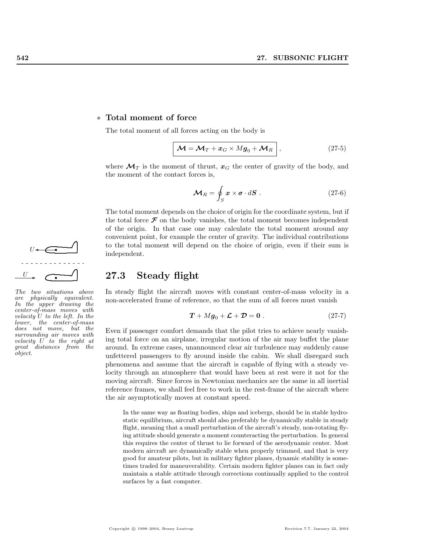#### ∗ Total moment of force

The total moment of all forces acting on the body is

$$
\mathcal{M} = \mathcal{M}_T + x_G \times Mg_0 + \mathcal{M}_R \,, \tag{27-5}
$$

where  $\mathcal{M}_T$  is the moment of thrust,  $x_G$  the center of gravity of the body, and the moment of the contact forces is,

$$
\mathcal{M}_R = \oint_S \mathbf{x} \times \boldsymbol{\sigma} \cdot d\mathbf{S} \ . \tag{27-6}
$$

The total moment depends on the choice of origin for the coordinate system, but if the total force  $\mathcal F$  on the body vanishes, the total moment becomes independent of the origin. In that case one may calculate the total moment around any convenient point, for example the center of gravity. The individual contributions to the total moment will depend on the choice of origin, even if their sum is independent.

# 27.3 Steady flight

In steady flight the aircraft moves with constant center-of-mass velocity in a non-accelerated frame of reference, so that the sum of all forces must vanish

$$
T + Mg_0 + \mathcal{L} + \mathcal{D} = 0. \qquad (27-7)
$$

Even if passenger comfort demands that the pilot tries to achieve nearly vanishing total force on an airplane, irregular motion of the air may buffet the plane around. In extreme cases, unannounced clear air turbulence may suddenly cause unfettered passengers to fly around inside the cabin. We shall disregard such phenomena and assume that the aircraft is capable of flying with a steady velocity through an atmosphere that would have been at rest were it not for the moving aircraft. Since forces in Newtonian mechanics are the same in all inertial reference frames, we shall feel free to work in the rest-frame of the aircraft where the air asymptotically moves at constant speed.

In the same way as floating bodies, ships and icebergs, should be in stable hydrostatic equilibrium, aircraft should also preferably be dynamically stable in steady flight, meaning that a small perturbation of the aircraft's steady, non-rotating flying attitude should generate a moment counteracting the perturbation. In general this requires the center of thrust to lie forward of the aerodynamic center. Most modern aircraft are dynamically stable when properly trimmed, and that is very good for amateur pilots, but in military fighter planes, dynamic stability is sometimes traded for maneuverability. Certain modern fighter planes can in fact only maintain a stable attitude through corrections continually applied to the control surfaces by a fast computer.



The two situations above are physically equivalent. In the upper drawing the center-of-mass moves with velocity U to the left. In the lower, the center-of-mass does not move, but the surrounding air moves with velocity  $U^{\dagger}$  to the right at<br>great distances from the  $distances$  from the object.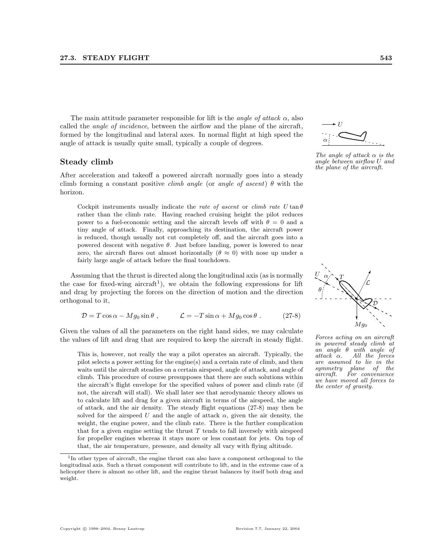The main attitude parameter responsible for lift is the *angle of attack*  $\alpha$ , also called the angle of incidence, between the airflow and the plane of the aircraft, formed by the longitudinal and lateral axes. In normal flight at high speed the angle of attack is usually quite small, typically a couple of degrees. .

#### Steady climb

After acceleration and takeoff a powered aircraft normally goes into a steady climb forming a constant positive *climb angle* (or *angle of ascent*)  $\theta$  with the horizon.

Cockpit instruments usually indicate the rate of ascent or climb rate  $U \tan \theta$ rather than the climb rate. Having reached cruising height the pilot reduces power to a fuel-economic setting and the aircraft levels off with  $\theta = 0$  and a tiny angle of attack. Finally, approaching its destination, the aircraft power is reduced, though usually not cut completely off, and the aircraft goes into a powered descent with negative  $\theta$ . Just before landing, power is lowered to near zero, the aircraft flares out almost horizontally ( $\theta \approx 0$ ) with nose up under a fairly large angle of attack before the final touchdown.

Assuming that the thrust is directed along the longitudinal axis (as is normally the case for fixed-wing aircraft<sup>1</sup>), we obtain the following expressions for lift and drag by projecting the forces on the direction of motion and the direction orthogonal to it,

$$
\mathcal{D} = T\cos\alpha - Mg_0\sin\theta , \qquad \mathcal{L} = -T\sin\alpha + Mg_0\cos\theta . \qquad (27-8)
$$

Given the values of all the parameters on the right hand sides, we may calculate the values of lift and drag that are required to keep the aircraft in steady flight.

This is, however, not really the way a pilot operates an aircraft. Typically, the pilot selects a power setting for the engine(s) and a certain rate of climb, and then waits until the aircraft steadies on a certain airspeed, angle of attack, and angle of climb. This procedure of course presupposes that there are such solutions within the aircraft's flight envelope for the specified values of power and climb rate (if not, the aircraft will stall). We shall later see that aerodynamic theory allows us to calculate lift and drag for a given aircraft in terms of the airspeed, the angle of attack, and the air density. The steady flight equations (27-8) may then be solved for the airspeed U and the angle of attack  $\alpha$ , given the air density, the weight, the engine power, and the climb rate. There is the further complication that for a given engine setting the thrust  $T$  tends to fall inversely with airspeed for propeller engines whereas it stays more or less constant for jets. On top of that, the air temperature, pressure, and density all vary with flying altitude.



The angle of attack  $\alpha$  is the angle between airflow U and the plane of the aircraft.



Forces acting on an aircraft in powered steady climb at an angle  $\theta$  with angle of<br>attack  $\alpha$ . All the forces All the forces are assumed to lie in the<br>symmetry plane of the symmetry plane of the aircraft. For convenience we have moved all forces to the center of gravity.

<sup>&</sup>lt;sup>1</sup>In other types of aircraft, the engine thrust can also have a component orthogonal to the longitudinal axis. Such a thrust component will contribute to lift, and in the extreme case of a helicopter there is almost no other lift, and the engine thrust balances by itself both drag and weight.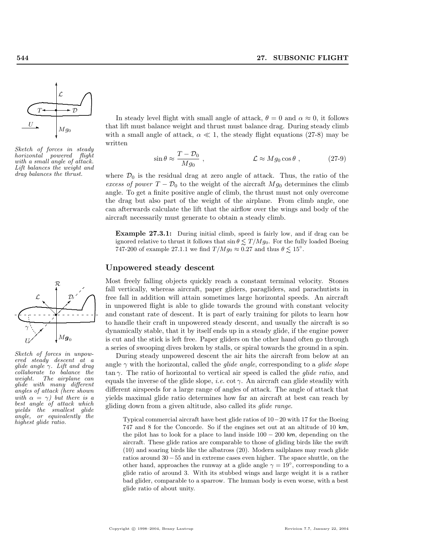

Sketch of forces in steady horizontal powered flight with a small angle of attack. Lift balances the weight and drag balances the thrust.



Sketch of forces in unpowered steady descent at a glide angle  $\gamma$ . Lift and drag collaborate to balance the weight. The airplane can glide with many different angles of attack (here shown with  $\alpha = \gamma$ ) but there is a best angle of attack which yields the smallest glide angle, or equivalently the highest glide ratio.

In steady level flight with small angle of attack,  $\theta = 0$  and  $\alpha \approx 0$ , it follows that lift must balance weight and thrust must balance drag. During steady climb with a small angle of attack,  $\alpha \ll 1$ , the steady flight equations (27-8) may be written

$$
\sin \theta \approx \frac{T - \mathcal{D}_0}{M g_0} , \qquad \qquad \mathcal{L} \approx M g_0 \cos \theta , \qquad (27-9)
$$

where  $\mathcal{D}_0$  is the residual drag at zero angle of attack. Thus, the ratio of the excess of power  $T - \mathcal{D}_0$  to the weight of the aircraft  $Mg_0$  determines the climb angle. To get a finite positive angle of climb, the thrust must not only overcome the drag but also part of the weight of the airplane. From climb angle, one can afterwards calculate the lift that the airflow over the wings and body of the aircraft necessarily must generate to obtain a steady climb.

Example 27.3.1: During initial climb, speed is fairly low, and if drag can be ignored relative to thrust it follows that  $\sin \theta \leq T/Mg_0$ . For the fully loaded Boeing 747-200 of example 27.1.1 we find  $T/Mg_0 \approx 0.27$  and thus  $\theta \lesssim 15^{\circ}$ .

#### Unpowered steady descent

Most freely falling objects quickly reach a constant terminal velocity. Stones fall vertically, whereas aircraft, paper gliders, paragliders, and parachutists in free fall in addition will attain sometimes large horizontal speeds. An aircraft in unpowered flight is able to glide towards the ground with constant velocity and constant rate of descent. It is part of early training for pilots to learn how to handle their craft in unpowered steady descent, and usually the aircraft is so dynamically stable, that it by itself ends up in a steady glide, if the engine power is cut and the stick is left free. Paper gliders on the other hand often go through a series of swooping dives broken by stalls, or spiral towards the ground in a spin.

During steady unpowered descent the air hits the aircraft from below at an angle  $\gamma$  with the horizontal, called the *glide angle*, corresponding to a *glide slope* tan γ. The ratio of horizontal to vertical air speed is called the *glide ratio*, and equals the inverse of the glide slope, *i.e.* cot  $\gamma$ . An aircraft can glide steadily with different airspeeds for a large range of angles of attack. The angle of attack that yields maximal glide ratio determines how far an aircraft at best can reach by gliding down from a given altitude, also called its glide range.

Typical commercial aircraft have best glide ratios of 10−20 with 17 for the Boeing 747 and 8 for the Concorde. So if the engines set out at an altitude of 10 km, the pilot has to look for a place to land inside 100 − 200 km, depending on the aircraft. These glide ratios are comparable to those of gliding birds like the swift (10) and soaring birds like the albatross (20). Modern sailplanes may reach glide ratios around 30−55 and in extreme cases even higher. The space shuttle, on the other hand, approaches the runway at a glide angle  $\gamma = 19^{\circ}$ , corresponding to a glide ratio of around 3. With its stubbed wings and large weight it is a rather bad glider, comparable to a sparrow. The human body is even worse, with a best glide ratio of about unity.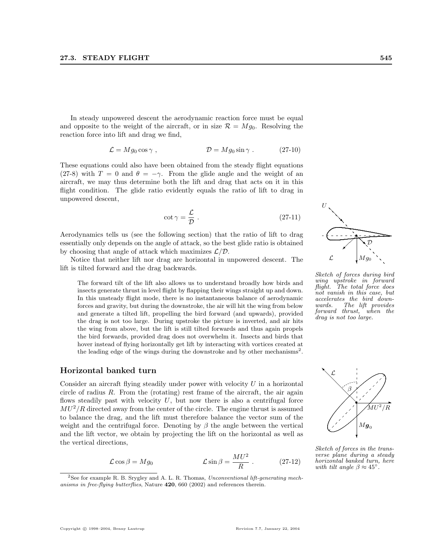In steady unpowered descent the aerodynamic reaction force must be equal and opposite to the weight of the aircraft, or in size  $\mathcal{R} = Mg_0$ . Resolving the reaction force into lift and drag we find,

$$
\mathcal{L} = M g_0 \cos \gamma , \qquad \qquad \mathcal{D} = M g_0 \sin \gamma . \qquad (27-10)
$$

These equations could also have been obtained from the steady flight equations (27-8) with  $T = 0$  and  $\theta = -\gamma$ . From the glide angle and the weight of an aircraft, we may thus determine both the lift and drag that acts on it in this flight condition. The glide ratio evidently equals the ratio of lift to drag in unpowered descent,

$$
\cot \gamma = \frac{\mathcal{L}}{\mathcal{D}} \ . \tag{27-11}
$$

Aerodynamics tells us (see the following section) that the ratio of lift to drag essentially only depends on the angle of attack, so the best glide ratio is obtained by choosing that angle of attack which maximizes  $\mathcal{L}/\mathcal{D}$ .

Notice that neither lift nor drag are horizontal in unpowered descent. The lift is tilted forward and the drag backwards.

The forward tilt of the lift also allows us to understand broadly how birds and insects generate thrust in level flight by flapping their wings straight up and down. In this unsteady flight mode, there is no instantaneous balance of aerodynamic forces and gravity, but during the downstroke, the air will hit the wing from below and generate a tilted lift, propelling the bird forward (and upwards), provided the drag is not too large. During upstroke the picture is inverted, and air hits the wing from above, but the lift is still tilted forwards and thus again propels the bird forwards, provided drag does not overwhelm it. Insects and birds that hover instead of flying horizontally get lift by interacting with vortices created at the leading edge of the wings during the downstroke and by other mechanisms<sup>2</sup>.

## Horizontal banked turn

Consider an aircraft flying steadily under power with velocity  $U$  in a horizontal circle of radius R. From the (rotating) rest frame of the aircraft, the air again flows steadily past with velocity  $U$ , but now there is also a centrifugal force  $MU<sup>2</sup>/R$  directed away from the center of the circle. The engine thrust is assumed to balance the drag, and the lift must therefore balance the vector sum of the weight and the centrifugal force. Denoting by  $\beta$  the angle between the vertical and the lift vector, we obtain by projecting the lift on the horizontal as well as the vertical directions,

$$
\mathcal{L}\cos\beta = Mg_0 \qquad \qquad \mathcal{L}\sin\beta = \frac{MU^2}{R} \ . \qquad (27-12)
$$



Sketch of forces during bird wing upstroke in forward flight. The total force does not vanish in this case, but accelerates the bird downwards. The lift provides forward thrust, when the drag is not too large.



Sketch of forces in the transverse plane during a steady horizontal banked turn, here with tilt angle  $\beta \approx 45^{\circ}$ .

<sup>&</sup>lt;sup>2</sup>See for example R. B. Srygley and A. L. R. Thomas, *Unconventional lift-generating mech*anisms in free-flying butterflies, Nature 420, 660 (2002) and references therein.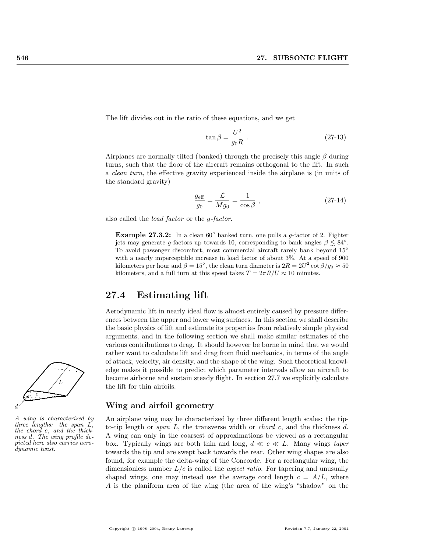The lift divides out in the ratio of these equations, and we get

$$
\tan \beta = \frac{U^2}{g_0 R} \ . \tag{27-13}
$$

Airplanes are normally tilted (banked) through the precisely this angle  $\beta$  during turns, such that the floor of the aircraft remains orthogonal to the lift. In such a clean turn, the effective gravity experienced inside the airplane is (in units of the standard gravity)

$$
\frac{g_{\text{eff}}}{g_0} = \frac{\mathcal{L}}{Mg_0} = \frac{1}{\cos \beta} , \qquad (27-14)
$$

also called the load factor or the g-factor.

**Example 27.3.2:** In a clean  $60°$  banked turn, one pulls a q-factor of 2. Fighter jets may generate g-factors up towards 10, corresponding to bank angles  $\beta \lesssim 84^{\circ}$ . To avoid passenger discomfort, most commercial aircraft rarely bank beyond 15◦ with a nearly imperceptible increase in load factor of about 3%. At a speed of 900 kilometers per hour and  $\beta = 15^{\circ}$ , the clean turn diameter is  $2R = 2U^2 \cot \beta / g_0 \approx 50$ kilometers, and a full turn at this speed takes  $T = 2\pi R/U \approx 10$  minutes.

# 27.4 Estimating lift

Aerodynamic lift in nearly ideal flow is almost entirely caused by pressure differences between the upper and lower wing surfaces. In this section we shall describe the basic physics of lift and estimate its properties from relatively simple physical arguments, and in the following section we shall make similar estimates of the various contributions to drag. It should however be borne in mind that we would rather want to calculate lift and drag from fluid mechanics, in terms of the angle of attack, velocity, air density, and the shape of the wing. Such theoretical knowledge makes it possible to predict which parameter intervals allow an aircraft to become airborne and sustain steady flight. In section 27.7 we explicitly calculate the lift for thin airfoils.

#### Wing and airfoil geometry

An airplane wing may be characterized by three different length scales: the tipto-tip length or span  $L$ , the transverse width or *chord c*, and the thickness  $d$ . A wing can only in the coarsest of approximations be viewed as a rectangular box. Typically wings are both thin and long,  $d \ll c \ll L$ . Many wings taper towards the tip and are swept back towards the rear. Other wing shapes are also found, for example the delta-wing of the Concorde. For a rectangular wing, the dimensionless number  $L/c$  is called the *aspect ratio*. For tapering and unusually shaped wings, one may instead use the average cord length  $c = A/L$ , where A is the planiform area of the wing (the area of the wing's "shadow" on the



A wing is characterized by three lengths: the span L, the chord c, and the thickness d. The wing profile depicted here also carries aerodynamic twist.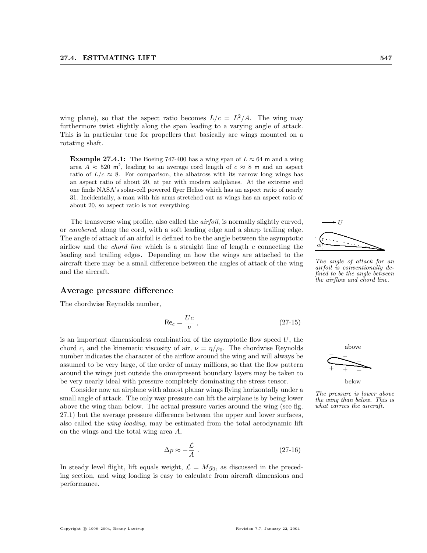wing plane), so that the aspect ratio becomes  $L/c = L^2/A$ . The wing may furthermore twist slightly along the span leading to a varying angle of attack. This is in particular true for propellers that basically are wings mounted on a rotating shaft.

**Example 27.4.1:** The Boeing 747-400 has a wing span of  $L \approx 64$  m and a wing area  $A \approx 520$  m<sup>2</sup>, leading to an average cord length of  $c \approx 8$  m and an aspect ratio of  $L/c \approx 8$ . For comparison, the albatross with its narrow long wings has an aspect ratio of about 20, at par with modern sailplanes. At the extreme end one finds NASA's solar-cell powered flyer Helios which has an aspect ratio of nearly 31. Incidentally, a man with his arms stretched out as wings has an aspect ratio of about 20, so aspect ratio is not everything.

The transverse wing profile, also called the *airfoil*, is normally slightly curved, or cambered, along the cord, with a soft leading edge and a sharp trailing edge. The angle of attack of an airfoil is defined to be the angle between the asymptotic airflow and the chord line which is a straight line of length c connecting the leading and trailing edges. Depending on how the wings are attached to the aircraft there may be a small difference between the angles of attack of the wing and the aircraft.

#### Average pressure difference

The chordwise Reynolds number,

$$
\text{Re}_c = \frac{Uc}{\nu} \,,\tag{27-15}
$$

is an important dimensionless combination of the asymptotic flow speed  $U$ , the chord c, and the kinematic viscosity of air,  $\nu = \eta/\rho_0$ . The chordwise Reynolds number indicates the character of the airflow around the wing and will always be assumed to be very large, of the order of many millions, so that the flow pattern around the wings just outside the omnipresent boundary layers may be taken to be very nearly ideal with pressure completely dominating the stress tensor.

Consider now an airplane with almost planar wings flying horizontally under a small angle of attack. The only way pressure can lift the airplane is by being lower above the wing than below. The actual pressure varies around the wing (see fig. 27.1) but the average pressure difference between the upper and lower surfaces, also called the wing loading, may be estimated from the total aerodynamic lift on the wings and the total wing area A,

$$
\Delta p \approx -\frac{\mathcal{L}}{A} \ . \tag{27-16}
$$

In steady level flight, lift equals weight,  $\mathcal{L} = Mg_0$ , as discussed in the preceding section, and wing loading is easy to calculate from aircraft dimensions and performance.

. ....... α ....... . . .  $\blacktriangleright$  U

The angle of attack for an airfoil is conventionally defined to be the angle between the airflow and chord line.

. . .. above <sup>+</sup> <sup>+</sup> <sup>+</sup> <sup>−</sup> <sup>−</sup> −

below

The pressure is lower above the wing than below. This is what carries the aircraft.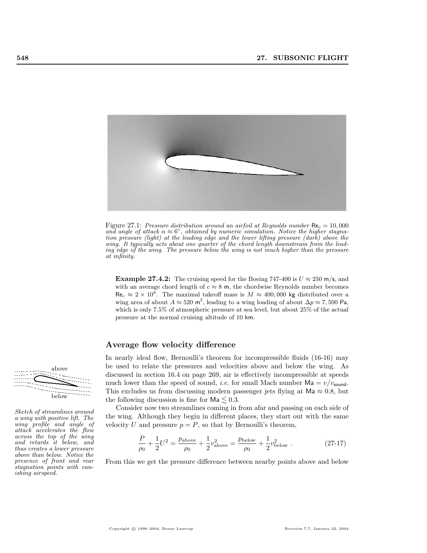

Figure 27.1: Pressure distribution around an airfoil at Reynolds number  $\text{Re}_c = 10,000$ and angle of attack  $\alpha \approx 6^{\circ}$ , obtained by numeric simulation. Notice the higher stagnation pressure (light) at the leading edge and the lower lifting pressure (dark) above the wing. It typically acts about one quarter of the chord length downstream from the leading edge of the wing. The pressure below the wing is not much higher than the pressure at infinity.

**Example 27.4.2:** The cruising speed for the Boeing 747-400 is  $U \approx 250$  m/s, and with an average chord length of  $c \approx 8$  m, the chordwise Reynolds number becomes  $\text{Re}_c \approx 2 \times 10^8$ . The maximal takeoff mass is  $M \approx 400,000$  kg distributed over a wing area of about  $A \approx 520$  m<sup>2</sup>, leading to a wing loading of about  $\Delta p \approx 7,500$  Pa, which is only 7.5% of atmospheric pressure at sea level, but about 25% of the actual pressure at the normal cruising altitude of 10 km.

#### Average flow velocity difference

In nearly ideal flow, Bernoulli's theorem for incompressible fluids (16-16) may be used to relate the pressures and velocities above and below the wing. As discussed in section 16.4 on page 269, air is effectively incompressible at speeds much lower than the speed of sound, *i.e.* for small Mach number  $Ma = v/v_{\text{sound}}$ . This excludes us from discussing modern passenger jets flying at  $Ma \approx 0.8$ , but the following discussion is fine for  $Ma \lesssim 0.3$ .

Consider now two streamlines coming in from afar and passing on each side of the wing. Although they begin in different places, they start out with the same velocity U and pressure  $p = P$ , so that by Bernoulli's theorem,

$$
\frac{P}{\rho_0} + \frac{1}{2}U^2 = \frac{p_{\text{above}}}{\rho_0} + \frac{1}{2}v_{\text{above}}^2 = \frac{p_{\text{below}}}{\rho_0} + \frac{1}{2}v_{\text{below}}^2.
$$
 (27-17)

From this we get the pressure difference between nearby points above and below



Sketch of streamlines around a wing with positive lift. The wing profile and angle of attack accelerates the flow across the top of the wing and retards it below, and thus creates a lower pressure above than below. Notice the presence of front and rear stagnation points with vanishing airspeed.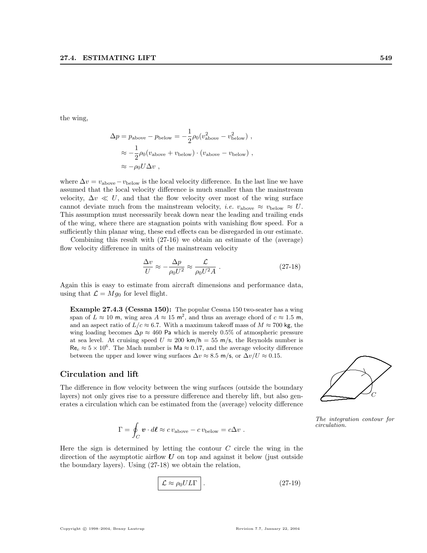the wing,

$$
\Delta p = p_{\text{above}} - p_{\text{below}} = -\frac{1}{2}\rho_0 (v_{\text{above}}^2 - v_{\text{below}}^2) ,
$$
  

$$
\approx -\frac{1}{2}\rho_0 (v_{\text{above}} + v_{\text{below}}) \cdot (v_{\text{above}} - v_{\text{below}}) ,
$$
  

$$
\approx -\rho_0 U \Delta v ,
$$

where  $\Delta v = v_{\text{above}} - v_{\text{below}}$  is the local velocity difference. In the last line we have assumed that the local velocity difference is much smaller than the mainstream velocity,  $\Delta v \ll U$ , and that the flow velocity over most of the wing surface cannot deviate much from the mainstream velocity, *i.e.*  $v_{\text{above}} \approx v_{\text{below}} \approx U$ . This assumption must necessarily break down near the leading and trailing ends of the wing, where there are stagnation points with vanishing flow speed. For a sufficiently thin planar wing, these end effects can be disregarded in our estimate.

Combining this result with (27-16) we obtain an estimate of the (average) flow velocity difference in units of the mainstream velocity

$$
\frac{\Delta v}{U} \approx -\frac{\Delta p}{\rho_0 U^2} \approx \frac{\mathcal{L}}{\rho_0 U^2 A} \,. \tag{27-18}
$$

Again this is easy to estimate from aircraft dimensions and performance data, using that  $\mathcal{L} = Mg_0$  for level flight.

Example 27.4.3 (Cessna 150): The popular Cessna 150 two-seater has a wing span of  $L \approx 10$  m, wing area  $A \approx 15$  m<sup>2</sup>, and thus an average chord of  $c \approx 1.5$  m, and an aspect ratio of  $L/c \approx 6.7$ . With a maximum takeoff mass of  $M \approx 700$  kg, the wing loading becomes  $\Delta p \approx 460$  Pa which is merely 0.5% of atmospheric pressure at sea level. At cruising speed  $U \approx 200 \text{ km/h} = 55 \text{ m/s}$ , the Reynolds number is  $\text{Re}_c \approx 5 \times 10^6$ . The Mach number is Ma  $\approx 0.17$ , and the average velocity difference between the upper and lower wing surfaces  $\Delta v \approx 8.5$  m/s, or  $\Delta v/U \approx 0.15$ .

#### Circulation and lift

The difference in flow velocity between the wing surfaces (outside the boundary layers) not only gives rise to a pressure difference and thereby lift, but also generates a circulation which can be estimated from the (average) velocity difference

$$
\Gamma = \oint_C \mathbf{v} \cdot d\mathbf{\ell} \approx c \, v_{\text{above}} - c \, v_{\text{below}} = c \Delta v \; .
$$

Here the sign is determined by letting the contour  $C$  circle the wing in the direction of the asymptotic airflow  $U$  on top and against it below (just outside the boundary layers). Using (27-18) we obtain the relation,

$$
\mathcal{L} \approx \rho_0 U L \Gamma \quad . \tag{27-19}
$$



The integration contour for circulation.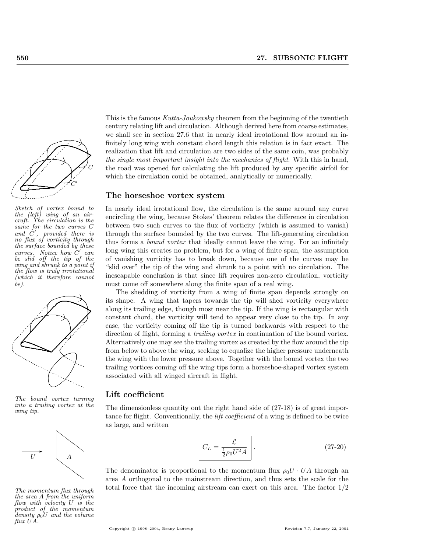

Sketch of vortex bound to the (left) wing of an aircraft. The circulation is the same for the two curves C and  $\check{C}'$ , provided there is no flux of vorticity through the surface bounded by these  $curves.$  Notice how  $C'$  can be slid off the tip of the wing and shrunk to a point if the flow is truly irrotational (which it therefore cannot be).



The bound vortex turning into a trailing vortex at the wing tip.



The momentum flux through the area A from the uniform flow with velocity U is the product of the momentum density  $\rho_0 U$  and the volume flux UA.

This is the famous Kutta-Joukowsky theorem from the beginning of the twentieth century relating lift and circulation. Although derived here from coarse estimates, we shall see in section 27.6 that in nearly ideal irrotational flow around an infinitely long wing with constant chord length this relation is in fact exact. The realization that lift and circulation are two sides of the same coin, was probably the single most important insight into the mechanics of flight. With this in hand, the road was opened for calculating the lift produced by any specific airfoil for which the circulation could be obtained, analytically or numerically.

## The horseshoe vortex system

In nearly ideal irrotational flow, the circulation is the same around any curve encircling the wing, because Stokes' theorem relates the difference in circulation between two such curves to the flux of vorticity (which is assumed to vanish) through the surface bounded by the two curves. The lift-generating circulation thus forms a bound vortex that ideally cannot leave the wing. For an infinitely long wing this creates no problem, but for a wing of finite span, the assumption of vanishing vorticity has to break down, because one of the curves may be "slid over" the tip of the wing and shrunk to a point with no circulation. The inescapable conclusion is that since lift requires non-zero circulation, vorticity must come off somewhere along the finite span of a real wing.

The shedding of vorticity from a wing of finite span depends strongly on its shape. A wing that tapers towards the tip will shed vorticity everywhere along its trailing edge, though most near the tip. If the wing is rectangular with constant chord, the vorticity will tend to appear very close to the tip. In any case, the vorticity coming off the tip is turned backwards with respect to the direction of flight, forming a *trailing vortex* in continuation of the bound vortex. Alternatively one may see the trailing vortex as created by the flow around the tip from below to above the wing, seeking to equalize the higher pressure underneath the wing with the lower pressure above. Together with the bound vortex the two trailing vortices coming off the wing tips form a horseshoe-shaped vortex system associated with all winged aircraft in flight.

## Lift coefficient

The dimensionless quantity ont the right hand side of (27-18) is of great importance for flight. Conventionally, the *lift coefficient* of a wing is defined to be twice as large, and written

$$
C_L = \frac{\mathcal{L}}{\frac{1}{2}\rho_0 U^2 A} \qquad (27-20)
$$

The denominator is proportional to the momentum flux  $\rho_0 U \cdot UA$  through an area A orthogonal to the mainstream direction, and thus sets the scale for the total force that the incoming airstream can exert on this area. The factor 1/2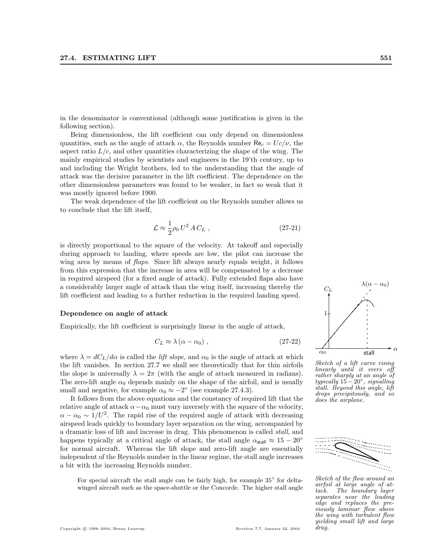in the denominator is conventional (although some justification is given in the following section).

Being dimensionless, the lift coefficient can only depend on dimensionless quantities, such as the angle of attack  $\alpha$ , the Reynolds number  $Re_c = U c/\nu$ , the aspect ratio  $L/c$ , and other quantities characterizing the shape of the wing. The mainly empirical studies by scientists and engineers in the 19'th century, up to and including the Wright brothers, led to the understanding that the angle of attack was the decisive parameter in the lift coefficient. The dependence on the other dimensionless parameters was found to be weaker, in fact so weak that it was mostly ignored before 1900.

The weak dependence of the lift coefficient on the Reynolds number allows us to conclude that the lift itself,

$$
\mathcal{L} \approx \frac{1}{2}\rho_0 U^2 A C_L , \qquad (27-21)
$$

is directly proportional to the square of the velocity. At takeoff and especially during approach to landing, where speeds are low, the pilot can increase the wing area by means of flaps. Since lift always nearly equals weight, it follows from this expression that the increase in area will be compensated by a decrease in required airspeed (for a fixed angle of attack). Fully extended flaps also have a considerably larger angle of attack than the wing itself, increasing thereby the lift coefficient and leading to a further reduction in the required landing speed.

#### Dependence on angle of attack

Empirically, the lift coefficient is surprisingly linear in the angle of attack,

$$
C_L \approx \lambda \left( \alpha - \alpha_0 \right) \,, \tag{27-22}
$$

where  $\lambda = dC_L/d\alpha$  is called the *lift slope*, and  $\alpha_0$  is the angle of attack at which the lift vanishes. In section 27.7 we shall see theoretically that for thin airfoils the slope is universally  $\lambda = 2\pi$  (with the angle of attack measured in radians). The zero-lift angle  $\alpha_0$  depends mainly on the shape of the airfoil, and is usually small and negative, for example  $\alpha_0 \approx -2^{\circ}$  (see example 27.4.3).

It follows from the above equations and the constancy of required lift that the relative angle of attack  $\alpha - \alpha_0$  must vary inversely with the square of the velocity,  $\alpha - \alpha_0 \sim 1/U^2$ . The rapid rise of the required angle of attack with decreasing airspeed leads quickly to boundary layer separation on the wing, accompanied by a dramatic loss of lift and increase in drag. This phenomenon is called stall, and happens typically at a critical angle of attack, the stall angle  $\alpha_{\text{stall}} \approx 15 - 20^{\circ}$ for normal aircraft. Whereas the lift slope and zero-lift angle are essentially independent of the Reynolds number in the linear regime, the stall angle increases a bit with the increasing Reynolds number.

For special aircraft the stall angle can be fairly high, for example 35° for deltawinged aircraft such as the space-shuttle or the Concorde. The higher stall angle



Sketch of a lift curve rising linearly until it veers off rather sharply at an angle of typically  $15-20^\circ$ , signalling stall. Beyond this angle, lift drops precipitously, and so does the airplane.



Sketch of the flow around an airfoil at large angle of attack. The boundary layer separates near the leading edge and replaces the previously laminar flow above the wing with turbulent flow yielding small lift and large drag.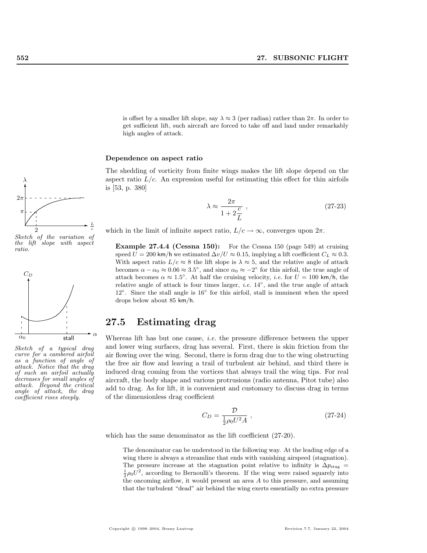is offset by a smaller lift slope, say  $\lambda \approx 3$  (per radian) rather than  $2\pi$ . In order to get sufficient lift, such aircraft are forced to take off and land under remarkably high angles of attack.

#### Dependence on aspect ratio

The shedding of vorticity from finite wings makes the lift slope depend on the aspect ratio  $L/c$ . An expression useful for estimating this effect for thin airfoils is [53, p. 380]

$$
\lambda \approx \frac{2\pi}{1 + 2\frac{c}{L}} \,, \tag{27-23}
$$

which in the limit of infinite aspect ratio,  $L/c \rightarrow \infty$ , converges upon  $2\pi$ .

**Example 27.4.4 (Cessna 150):** For the Cessna 150 (page 549) at cruising speed  $U = 200$  km/h we estimated  $\Delta v/U \approx 0.15$ , implying a lift coefficient  $C_L \approx 0.3$ . With aspect ratio  $L/c \approx 8$  the lift slope is  $\lambda \approx 5$ , and the relative angle of attack becomes  $\alpha - \alpha_0 \approx 0.06 \approx 3.5^{\circ}$ , and since  $\alpha_0 \approx -2^{\circ}$  for this airfoil, the true angle of attack becomes  $\alpha \approx 1.5^{\circ}$ . At half the cruising velocity, *i.e.* for  $U = 100 \text{ km/h}$ , the relative angle of attack is four times larger, *i.e.*  $14^{\circ}$ , and the true angle of attack 12°. Since the stall angle is 16° for this airfoil, stall is imminent when the speed drops below about 85 km/h.

# 27.5 Estimating drag

Whereas lift has but one cause, *i.e.* the pressure difference between the upper and lower wing surfaces, drag has several. First, there is skin friction from the air flowing over the wing. Second, there is form drag due to the wing obstructing the free air flow and leaving a trail of turbulent air behind, and third there is induced drag coming from the vortices that always trail the wing tips. For real aircraft, the body shape and various protrusions (radio antenna, Pitot tube) also add to drag. As for lift, it is convenient and customary to discuss drag in terms of the dimensionless drag coefficient

$$
C_D = \frac{\mathcal{D}}{\frac{1}{2}\rho_0 U^2 A} \,, \tag{27-24}
$$

which has the same denominator as the lift coefficient  $(27-20)$ .

The denominator can be understood in the following way. At the leading edge of a wing there is always a streamline that ends with vanishing airspeed (stagnation). The pressure increase at the stagnation point relative to infinity is  $\Delta p_{\text{star}} =$  $\frac{1}{2}\rho_0 U^2$ , according to Bernoulli's theorem. If the wing were raised squarely into the oncoming airflow, it would present an area A to this pressure, and assuming that the turbulent "dead" air behind the wing exerts essentially no extra pressure



Sketch of the variation of the lift slope with aspect ratio.



Sketch of a typical drag curve for a cambered airfoil as a function of angle of attack. Notice that the drag of such an airfoil actually decreases for small angles of attack. Beyond the critical angle of attack, the drag coefficient rises steeply.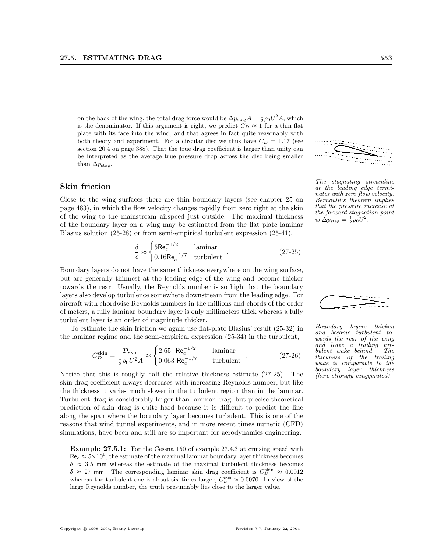on the back of the wing, the total drag force would be  $\Delta p_{\text{stag}}A = \frac{1}{2}\rho_0 U^2 A$ , which is the denominator. If this argument is right, we predict  $C_D \approx 1$  for a thin flat plate with its face into the wind, and that agrees in fact quite reasonably with both theory and experiment. For a circular disc we thus have  $C_D = 1.17$  (see section 20.4 on page 388). That the true drag coefficient is larger than unity can be interpreted as the average true pressure drop across the disc being smaller than  $\Delta p_{\text{stag}}$ .

### Skin friction

Close to the wing surfaces there are thin boundary layers (see chapter 25 on page 483), in which the flow velocity changes rapidly from zero right at the skin of the wing to the mainstream airspeed just outside. The maximal thickness of the boundary layer on a wing may be estimated from the flat plate laminar Blasius solution (25-28) or from semi-empirical turbulent expression (25-41),

$$
\frac{\delta}{c} \approx \begin{cases} 5\text{Re}_c^{-1/2} & \text{laminar} \\ 0.16\text{Re}_c^{-1/7} & \text{turbulent} \end{cases}
$$
 (27-25)

Boundary layers do not have the same thickness everywhere on the wing surface, but are generally thinnest at the leading edge of the wing and become thicker towards the rear. Usually, the Reynolds number is so high that the boundary layers also develop turbulence somewhere downstream from the leading edge. For aircraft with chordwise Reynolds numbers in the millions and chords of the order of meters, a fully laminar boundary layer is only millimeters thick whereas a fully turbulent layer is an order of magnitude thicker.

To estimate the skin friction we again use flat-plate Blasius' result (25-32) in the laminar regime and the semi-empirical expression (25-34) in the turbulent,  $\overline{a}$ 

$$
C_D^{\text{skin}} = \frac{\mathcal{D}_{\text{skin}}}{\frac{1}{2}\rho_0 U^2 A} \approx \begin{cases} 2.65 \text{ Re}_c^{-1/2} & \text{laminar} \\ 0.063 \text{ Re}_c^{-1/7} & \text{turbulent} \end{cases} . \tag{27-26}
$$

Notice that this is roughly half the relative thickness estimate (27-25). The skin drag coefficient always decreases with increasing Reynolds number, but like the thickness it varies much slower in the turbulent region than in the laminar. Turbulent drag is considerably larger than laminar drag, but precise theoretical prediction of skin drag is quite hard because it is difficult to predict the line along the span where the boundary layer becomes turbulent. This is one of the reasons that wind tunnel experiments, and in more recent times numeric (CFD) simulations, have been and still are so important for aerodynamics engineering.

Example 27.5.1: For the Cessna 150 of example 27.4.3 at cruising speed with  $\text{Re}_c \approx 5 \times 10^6$ , the estimate of the maximal laminar boundary layer thickness becomes  $\delta \approx 3.5$  mm whereas the estimate of the maximal turbulent thickness becomes  $\delta \approx 27$  mm. The corresponding laminar skin drag coefficient is  $C_D^{\text{skin}} \approx 0.0012$ whereas the turbulent one is about six times larger,  $C_D^{\text{skin}} \approx 0.0070$ . In view of the large Reynolds number, the truth presumably lies close to the larger value.

. . . ............. . . ..... .......... . . . . . ....... . . . . . .. ... ... .. .............. . .. ......... . .... . . . ... . ......... . . . . . ... ... ... .............. ................... . ........... .. . . ........ . . . . . . . . . ........... ......... ... ... . .. . .................... . . . . . . . . . . .........

The stagnating streamline at the leading edge terminates with zero flow velocity. Bernoulli's theorem implies that the pressure increase at the forward stagnation point is  $\Delta p_{\text{stag}} = \frac{1}{2} \rho_0 U^2$ .



Boundary layers thicken and become turbulent towards the rear of the wing and leave a trailing turbulent wake behind. The thickness of the trailing wake is comparable to the boundary layer thickness (here strongly exaggerated).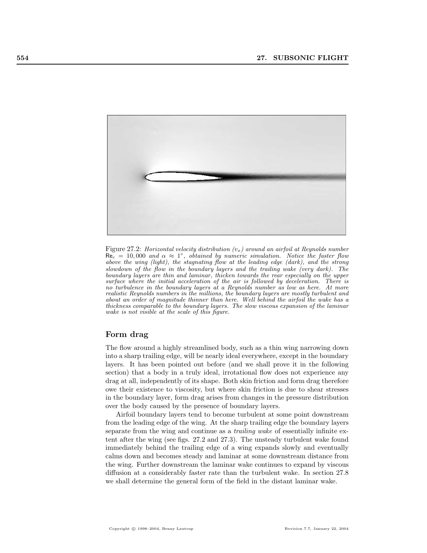

Figure 27.2: Horizontal velocity distribution  $(v_x)$  around an airfoil at Reynolds number  $\overline{\text{Re}_c} = 10,000$  and  $\alpha \approx 1^{\circ}$ , obtained by numeric simulation. Notice the faster flow above the wing (light), the stagnating flow at the leading edge (dark), and the strong slowdown of the flow in the boundary layers and the trailing wake (very dark). The boundary layers are thin and laminar, thicken towards the rear especially on the upper surface where the initial acceleration of the air is followed by deceleration. There is no turbulence in the boundary layers at a Reynolds number as low as here. At more realistic Reynolds numbers in the millions, the boundary layers are mostly turbulent and about an order of magnitude thinner than here. Well behind the airfoil the wake has a thickness comparable to the boundary layers. The slow viscous expansion of the laminar wake is not visible at the scale of this figure.

#### Form drag

The flow around a highly streamlined body, such as a thin wing narrowing down into a sharp trailing edge, will be nearly ideal everywhere, except in the boundary layers. It has been pointed out before (and we shall prove it in the following section) that a body in a truly ideal, irrotational flow does not experience any drag at all, independently of its shape. Both skin friction and form drag therefore owe their existence to viscosity, but where skin friction is due to shear stresses in the boundary layer, form drag arises from changes in the pressure distribution over the body caused by the presence of boundary layers.

Airfoil boundary layers tend to become turbulent at some point downstream from the leading edge of the wing. At the sharp trailing edge the boundary layers separate from the wing and continue as a trailing wake of essentially infinite extent after the wing (see figs. 27.2 and 27.3). The unsteady turbulent wake found immediately behind the trailing edge of a wing expands slowly and eventually calms down and becomes steady and laminar at some downstream distance from the wing. Further downstream the laminar wake continues to expand by viscous diffusion at a considerably faster rate than the turbulent wake. In section 27.8 we shall determine the general form of the field in the distant laminar wake.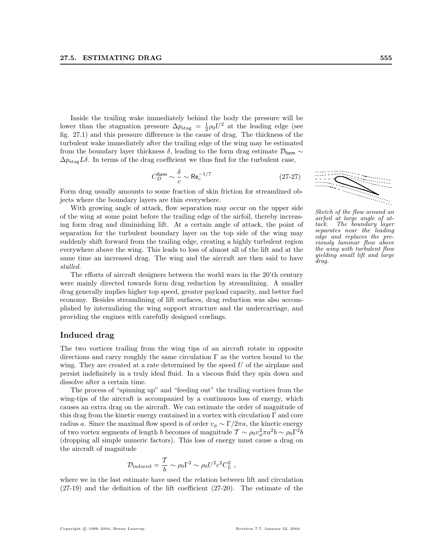Inside the trailing wake immediately behind the body the pressure will be lower than the stagnation pressure  $\Delta p_{\text{stag}} = \frac{1}{2} \rho_0 U^2$  at the leading edge (see fig. 27.1) and this pressure difference is the cause of drag. The thickness of the turbulent wake immediately after the trailing edge of the wing may be estimated from the boundary layer thickness  $\delta$ , leading to the form drag estimate  $\mathcal{D}_{\text{form}} \sim$  $\Delta p_{\text{stag}} L \delta$ . In terms of the drag coefficient we thus find for the turbulent case,

$$
C_D^{\text{form}} \sim \frac{\delta}{c} \sim \text{Re}_c^{-1/7} \tag{27-27}
$$

Form drag usually amounts to some fraction of skin friction for streamlined objects where the boundary layers are thin everywhere.

With growing angle of attack, flow separation may occur on the upper side of the wing at some point before the trailing edge of the airfoil, thereby increasing form drag and diminishing lift. At a certain angle of attack, the point of separation for the turbulent boundary layer on the top side of the wing may suddenly shift forward from the trailing edge, creating a highly turbulent region everywhere above the wing. This leads to loss of almost all of the lift and at the same time an increased drag. The wing and the aircraft are then said to have stalled.

The efforts of aircraft designers between the world wars in the 20'th century were mainly directed towards form drag reduction by streamlining. A smaller drag generally implies higher top speed, greater payload capacity, and better fuel economy. Besides streamlining of lift surfaces, drag reduction was also accomplished by internalizing the wing support structure and the undercarriage, and providing the engines with carefully designed cowlings.

#### Induced drag

The two vortices trailing from the wing tips of an aircraft rotate in opposite directions and carry roughly the same circulation  $\Gamma$  as the vortex bound to the wing. They are created at a rate determined by the speed  $U$  of the airplane and persist indefinitely in a truly ideal fluid. In a viscous fluid they spin down and dissolve after a certain time.

The process of "spinning up" and "feeding out" the trailing vortices from the wing-tips of the aircraft is accompanied by a continuous loss of energy, which causes an extra drag on the aircraft. We can estimate the order of magnitude of this drag from the kinetic energy contained in a vortex with circulation  $\Gamma$  and core radius a. Since the maximal flow speed is of order  $v_{\phi} \sim \Gamma/2\pi a$ , the kinetic energy of two vortex segments of length b becomes of magnitude  $\mathcal{T} \sim \rho_0 v_\phi^2 \pi a^2 b \sim \rho_0 \Gamma^2 b$ (dropping all simple numeric factors). This loss of energy must cause a drag on the aircraft of magnitude

$$
\mathcal{D}_{induced} = \frac{T}{b} \sim \rho_0 \Gamma^2 \sim \rho_0 U^2 c^2 C_L^2 ,
$$

where we in the last estimate have used the relation between lift and circulation (27-19) and the definition of the lift coefficient (27-20). The estimate of the



Sketch of the flow around an airfoil at large angle of attack. The boundary layer separates near the leading edge and replaces the previously laminar flow above the wing with turbulent flow yielding small lift and large drag.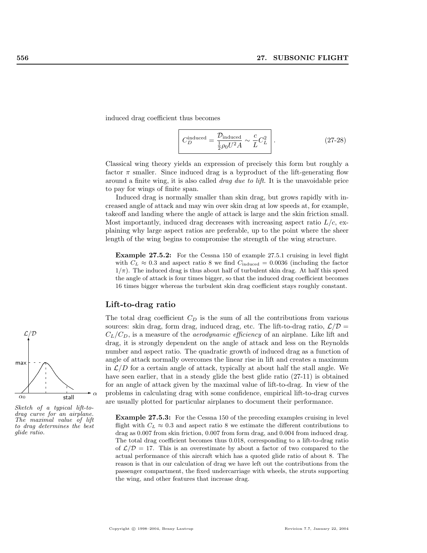induced drag coefficient thus becomes

$$
C_D^{\text{induced}} = \frac{\mathcal{D}_{\text{induced}}}{\frac{1}{2}\rho_0 U^2 A} \sim \frac{c}{L} C_L^2 \quad . \tag{27-28}
$$

Classical wing theory yields an expression of precisely this form but roughly a factor  $\pi$  smaller. Since induced drag is a byproduct of the lift-generating flow around a finite wing, it is also called drag due to lift. It is the unavoidable price to pay for wings of finite span.

Induced drag is normally smaller than skin drag, but grows rapidly with increased angle of attack and may win over skin drag at low speeds at, for example, takeoff and landing where the angle of attack is large and the skin friction small. Most importantly, induced drag decreases with increasing aspect ratio  $L/c$ , explaining why large aspect ratios are preferable, up to the point where the sheer length of the wing begins to compromise the strength of the wing structure.

Example 27.5.2: For the Cessna 150 of example 27.5.1 cruising in level flight with  $C_L \approx 0.3$  and aspect ratio 8 we find  $C_{induced} = 0.0036$  (including the factor  $1/\pi$ ). The induced drag is thus about half of turbulent skin drag. At half this speed the angle of attack is four times bigger, so that the induced drag coefficient becomes 16 times bigger whereas the turbulent skin drag coefficient stays roughly constant.

#### Lift-to-drag ratio

The total drag coefficient  $C_D$  is the sum of all the contributions from various sources: skin drag, form drag, induced drag, etc. The lift-to-drag ratio,  $\mathcal{L}/\mathcal{D} =$  $C_L/C_D$ , is a measure of the *aerodynamic efficiency* of an airplane. Like lift and drag, it is strongly dependent on the angle of attack and less on the Reynolds number and aspect ratio. The quadratic growth of induced drag as a function of angle of attack normally overcomes the linear rise in lift and creates a maximum in  $\mathcal{L}/D$  for a certain angle of attack, typically at about half the stall angle. We have seen earlier, that in a steady glide the best glide ratio (27-11) is obtained for an angle of attack given by the maximal value of lift-to-drag. In view of the problems in calculating drag with some confidence, empirical lift-to-drag curves are usually plotted for particular airplanes to document their performance.

Example 27.5.3: For the Cessna 150 of the preceding examples cruising in level flight with  $C_L \approx 0.3$  and aspect ratio 8 we estimate the different contributions to drag as 0.007 from skin friction, 0.007 from form drag, and 0.004 from induced drag. The total drag coefficient becomes thus 0.018, corresponding to a lift-to-drag ratio of  $\mathcal{L}/\mathcal{D} = 17$ . This is an overestimate by about a factor of two compared to the actual performance of this aircraft which has a quoted glide ratio of about 8. The reason is that in our calculation of drag we have left out the contributions from the passenger compartment, the fixed undercarriage with wheels, the struts supporting the wing, and other features that increase drag.



Sketch of a typical lift-todrag curve for an airplane. The maximal value of lift to drag determines the best glide ratio.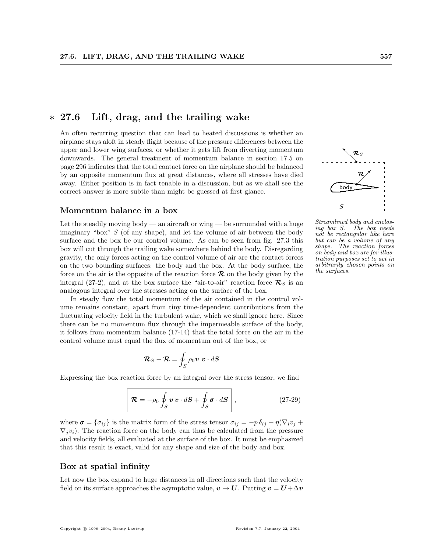# ∗ 27.6 Lift, drag, and the trailing wake

An often recurring question that can lead to heated discussions is whether an airplane stays aloft in steady flight because of the pressure differences between the upper and lower wing surfaces, or whether it gets lift from diverting momentum downwards. The general treatment of momentum balance in section 17.5 on page 296 indicates that the total contact force on the airplane should be balanced by an opposite momentum flux at great distances, where all stresses have died away. Either position is in fact tenable in a discussion, but as we shall see the correct answer is more subtle than might be guessed at first glance.

## Momentum balance in a box

Let the steadily moving body — an aircraft or wing — be surrounded with a huge imaginary "box" S (of any shape), and let the volume of air between the body surface and the box be our control volume. As can be seen from fig. 27.3 this box will cut through the trailing wake somewhere behind the body. Disregarding gravity, the only forces acting on the control volume of air are the contact forces on the two bounding surfaces: the body and the box. At the body surface, the force on the air is the opposite of the reaction force  $\mathcal R$  on the body given by the integral (27-2), and at the box surface the "air-to-air" reaction force  $\mathcal{R}_S$  is an analogous integral over the stresses acting on the surface of the box.

In steady flow the total momentum of the air contained in the control volume remains constant, apart from tiny time-dependent contributions from the fluctuating velocity field in the turbulent wake, which we shall ignore here. Since there can be no momentum flux through the impermeable surface of the body, it follows from momentum balance (17-14) that the total force on the air in the control volume must equal the flux of momentum out of the box, or

$$
\boldsymbol{\mathcal{R}}_S-\boldsymbol{\mathcal{R}}=\oint_S\rho_0\boldsymbol{v}\;\boldsymbol{v}\cdot d\boldsymbol{S}
$$

Expressing the box reaction force by an integral over the stress tensor, we find

$$
\mathcal{R} = -\rho_0 \oint_S \mathbf{v} \, \mathbf{v} \cdot d\mathbf{S} + \oint_S \boldsymbol{\sigma} \cdot d\mathbf{S} , \qquad (27-29)
$$

where  $\sigma = {\sigma_{ij}}$  is the matrix form of the stress tensor  $\sigma_{ij} = -p \delta_{ij} + \eta (\nabla_i v_j +$  $\nabla_i v_i$ ). The reaction force on the body can thus be calculated from the pressure and velocity fields, all evaluated at the surface of the box. It must be emphasized that this result is exact, valid for any shape and size of the body and box.

#### Box at spatial infinity

Let now the box expand to huge distances in all directions such that the velocity field on its surface approaches the asymptotic value,  $v \to U$ . Putting  $v = U + \Delta v$ 

S Streamlined body and enclosing box S. The box needs not be rectangular like here but can be a volume of any shape. The reaction forces on body and box are for illustration purposes set to act in arbitrarily chosen points on

the surfaces.

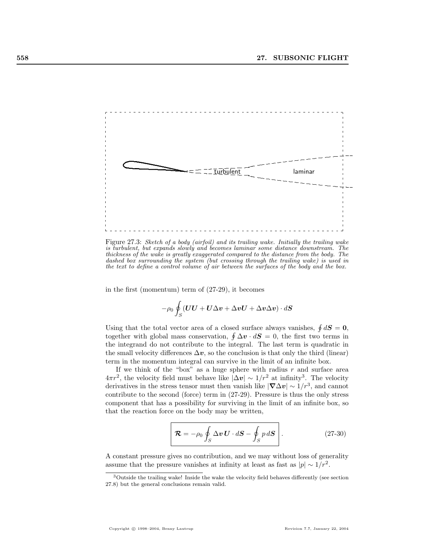

Figure 27.3: Sketch of a body (airfoil) and its trailing wake. Initially the trailing wake is turbulent, but expands slowly and becomes laminar some distance downstream. The thickness of the wake is greatly exaggerated compared to the distance from the body. The dashed box surrounding the system (but crossing through the trailing wake) is used in the text to define a control volume of air between the surfaces of the body and the box.

in the first (momentum) term of (27-29), it becomes

$$
-\rho_0\oint_S (\bm{U}\bm{U}+\bm{U}\Delta\bm{v}+\Delta\bm{v}\bm{U}+\Delta\bm{v}\Delta\bm{v})\cdot d\bm{S}
$$

Using that the total vector area of a closed surface always vanishes,  $\oint dS = 0$ , Using that the total vector area of a closed surface always vanishes,  $\oint d\mathbf{\Sigma} = \mathbf{0}$ , together with global mass conservation,  $\oint \Delta \mathbf{v} \cdot d\mathbf{S} = 0$ , the first two terms in the integrand do not contribute to the integral. The last term is quadratic in the small velocity differences  $\Delta v$ , so the conclusion is that only the third (linear) term in the momentum integral can survive in the limit of an infinite box.

If we think of the "box" as a huge sphere with radius  $r$  and surface area  $4\pi r^2$ , the velocity field must behave like  $|\Delta v| \sim 1/r^2$  at infinity<sup>3</sup>. The velocity derivatives in the stress tensor must then vanish like  $|\nabla \Delta v| \sim 1/r^3$ , and cannot contribute to the second (force) term in (27-29). Pressure is thus the only stress component that has a possibility for surviving in the limit of an infinite box, so that the reaction force on the body may be written,

$$
\mathcal{R} = -\rho_0 \oint_S \Delta v \, \mathbf{U} \cdot d\mathbf{S} - \oint_S p \, d\mathbf{S} \quad . \tag{27-30}
$$

A constant pressure gives no contribution, and we may without loss of generality assume that the pressure vanishes at infinity at least as fast as  $|p| \sim 1/r^2$ .

<sup>3</sup>Outside the trailing wake! Inside the wake the velocity field behaves differently (see section 27.8) but the general conclusions remain valid.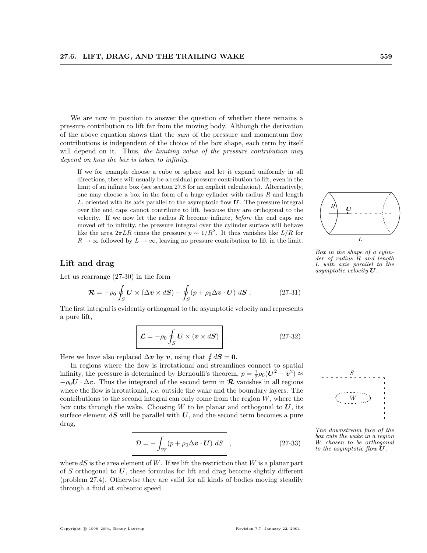We are now in position to answer the question of whether there remains a pressure contribution to lift far from the moving body. Although the derivation of the above equation shows that the sum of the pressure and momentum flow contributions is independent of the choice of the box shape, each term by itself will depend on it. Thus, the limiting value of the pressure contribution may depend on how the box is taken to infinity.

If we for example choose a cube or sphere and let it expand uniformly in all directions, there will usually be a residual pressure contribution to lift, even in the limit of an infinite box (see section 27.8 for an explicit calculation). Alternatively, one may choose a box in the form of a huge cylinder with radius  $R$  and length L, oriented with its axis parallel to the asymptotic flow  $U$ . The pressure integral over the end caps cannot contribute to lift, because they are orthogonal to the velocity. If we now let the radius  $R$  become infinite, *before* the end caps are moved off to infinity, the pressure integral over the cylinder surface will behave like the area  $2\pi LR$  times the pressure  $p \sim 1/R^2$ . It thus vanishes like  $L/R$  for  $R \to \infty$  followed by  $L \to \infty$ , leaving no pressure contribution to lift in the limit.

## Lift and drag

Let us rearrange (27-30) in the form

$$
\mathcal{R} = -\rho_0 \oint_S \mathbf{U} \times (\Delta \mathbf{v} \times d\mathbf{S}) - \oint_S (p + \rho_0 \Delta \mathbf{v} \cdot \mathbf{U}) d\mathbf{S} . \tag{27-31}
$$

The first integral is evidently orthogonal to the asymptotic velocity and represents a pure lift,

$$
\mathcal{L} = -\rho_0 \oint_S \mathbf{U} \times (\mathbf{v} \times d\mathbf{S}) \qquad (27-32)
$$

Here we have also replaced  $\overline{\Delta v}$  by v, using that  $\oint dS = 0$ .

In regions where the flow is irrotational and streamlines connect to spatial infinity, the pressure is determined by Bernoulli's theorem,  $p = \frac{1}{2}\rho_0(\mathbf{U}^2 - \mathbf{v}^2) \approx$  $-\rho_0 \mathbf{U} \cdot \Delta \mathbf{v}$ . Thus the integrand of the second term in **R** vanishes in all regions where the flow is irrotational, *i.e.* outside the wake and the boundary layers. The contributions to the second integral can only come from the region  $W$ , where the box cuts through the wake. Choosing  $W$  to be planar and orthogonal to  $U$ , its surface element  $d\mathbf{S}$  will be parallel with  $\mathbf{U}$ , and the second term becomes a pure drag,

$$
\mathcal{D} = -\int_{W} (p + \rho_0 \Delta \mathbf{v} \cdot \mathbf{U}) \, dS \,, \tag{27-33}
$$

where  $dS$  is the area element of W. If we lift the restriction that W is a planar part of S orthogonal to  $U$ , these formulas for lift and drag become slightly different (problem 27.4). Otherwise they are valid for all kinds of bodies moving steadily through a fluid at subsonic speed.

 $\sqrt{2}$ . . . .. . . . . . . . . . . . . . . . R L  $II$ 

asymptotic velocity U.



.. . . ... ... .... . . . . ...

. . . . . ... ... ... . .

S

. . . . . . ..

. .

.. .  $\langle \quad \, W$ 



.

. .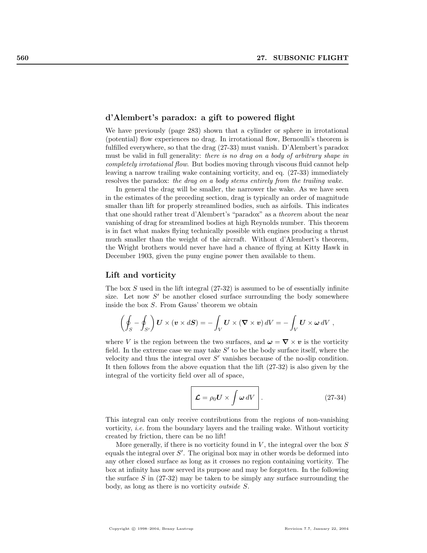#### d'Alembert's paradox: a gift to powered flight

We have previously (page 283) shown that a cylinder or sphere in irrotational (potential) flow experiences no drag. In irrotational flow, Bernoulli's theorem is fulfilled everywhere, so that the drag (27-33) must vanish. D'Alembert's paradox must be valid in full generality: there is no drag on a body of arbitrary shape in completely irrotational flow. But bodies moving through viscous fluid cannot help leaving a narrow trailing wake containing vorticity, and eq. (27-33) immediately resolves the paradox: the drag on a body stems entirely from the trailing wake.

In general the drag will be smaller, the narrower the wake. As we have seen in the estimates of the preceding section, drag is typically an order of magnitude smaller than lift for properly streamlined bodies, such as airfoils. This indicates that one should rather treat d'Alembert's "paradox" as a theorem about the near vanishing of drag for streamlined bodies at high Reynolds number. This theorem is in fact what makes flying technically possible with engines producing a thrust much smaller than the weight of the aircraft. Without d'Alembert's theorem, the Wright brothers would never have had a chance of flying at Kitty Hawk in December 1903, given the puny engine power then available to them.

#### Lift and vorticity

The box  $S$  used in the lift integral  $(27-32)$  is assumed to be of essentially infinite size. Let now  $S'$  be another closed surface surrounding the body somewhere inside the box S. From Gauss' theorem we obtain

$$
\left(\oint_S - \oint_{S'}\right) U \times (v \times dS) = -\int_V U \times (\nabla \times v) dV = -\int_V U \times \omega dV,
$$

where V is the region between the two surfaces, and  $\boldsymbol{\omega} = \nabla \times \boldsymbol{v}$  is the vorticity field. In the extreme case we may take  $S'$  to be the body surface itself, where the velocity and thus the integral over  $S'$  vanishes because of the no-slip condition. It then follows from the above equation that the lift (27-32) is also given by the integral of the vorticity field over all of space,

$$
\mathcal{L} = \rho_0 \mathbf{U} \times \int \boldsymbol{\omega} \, dV \quad . \tag{27-34}
$$

This integral can only receive contributions from the regions of non-vanishing vorticity, i.e. from the boundary layers and the trailing wake. Without vorticity created by friction, there can be no lift!

More generally, if there is no vorticity found in  $V$ , the integral over the box  $S$ equals the integral over  $S'$ . The original box may in other words be deformed into any other closed surface as long as it crosses no region containing vorticity. The box at infinity has now served its purpose and may be forgotten. In the following the surface  $S$  in (27-32) may be taken to be simply any surface surrounding the body, as long as there is no vorticity outside S.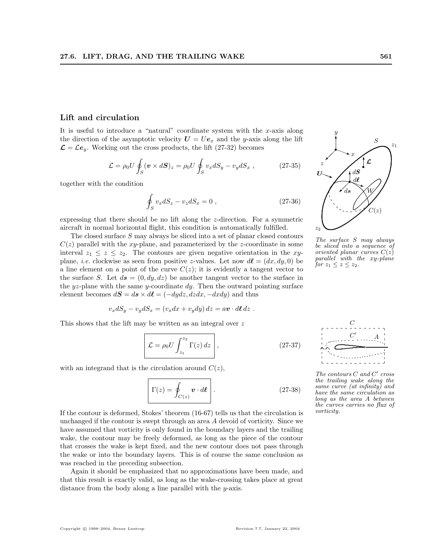## Lift and circulation

It is useful to introduce a "natural" coordinate system with the  $x$ -axis along the direction of the asymptotic velocity  $U = Ue_x$  and the y-axis along the lift  $\mathcal{L} = \mathcal{L}e_y$ . Working out the cross products, the lift (27-32) becomes

$$
\mathcal{L} = \rho_0 U \oint_S (\boldsymbol{v} \times d\boldsymbol{S})_z = \rho_0 U \oint_S v_x dS_y - v_y dS_x , \qquad (27-35)
$$

together with the condition

$$
\oint_{S} v_x dS_z - v_z dS_x = 0 ,\qquad (27-36)
$$

expressing that there should be no lift along the z-direction. For a symmetric aircraft in normal horizontal flight, this condition is automatically fulfilled.

The closed surface S may always be sliced into a set of planar closed contours  $C(z)$  parallel with the xy-plane, and parameterized by the z-coordinate in some interval  $z_1 \leq z \leq z_2$ . The contours are given negative orientation in the xyplane, *i.e.* clockwise as seen from positive z-values. Let now  $d\ell = (dx, dy, 0)$  be a line element on a point of the curve  $C(z)$ ; it is evidently a tangent vector to the surface S. Let  $ds = (0, dy, dz)$  be another tangent vector to the surface in the  $yz$ -plane with the same y-coordinate  $dy$ . Then the outward pointing surface element becomes  $d\mathbf{S} = d\mathbf{s} \times d\mathbf{l} = (-dydz, dzdx, -dxdy)$  and thus

$$
v_x dS_y - v_y dS_x = (v_x dx + v_y dy) dz = av \cdot d\ell dz.
$$

This shows that the lift may be written as an integral over z

$$
\mathcal{L} = \rho_0 U \int_{z_1}^{z_2} \Gamma(z) dz \qquad (27-37)
$$

with an integrand that is the circulation around  $C(z)$ ,

$$
\Gamma(z) = \oint_{C(z)} \mathbf{v} \cdot d\mathbf{\ell} \quad . \tag{27-38}
$$

If the contour is deformed, Stokes' theorem (16-67) tells us that the circulation is unchanged if the contour is swept through an area  $A$  devoid of vorticity. Since we have assumed that vorticity is only found in the boundary layers and the trailing wake, the contour may be freely deformed, as long as the piece of the contour that crosses the wake is kept fixed, and the new contour does not pass through the wake or into the boundary layers. This is of course the same conclusion as was reached in the preceding subsection.

Again it should be emphasized that no approximations have been made, and that this result is exactly valid, as long as the wake-crossing takes place at great distance from the body along a line parallel with the y-axis.



The surface S may always be sliced into a sequence of oriented planar curves  $C(z)$ parallel with the xy-plane for  $z_1 \leq z \leq z_2$ .



The contours  $C$  and  $C'$  cross the trailing wake along the same curve (at infinity) and have the same circulation as long as the area A between the curves carries no flux of vorticity.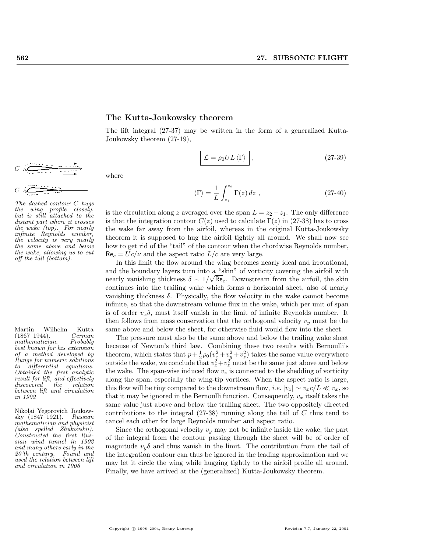. ..... .......... .......... . ...... ... .... ... ..... . ... . . . .. ....... . . . ..... ... ... ...... . .... .... ... . .. .. .. ..... . . . C ✲ ✲ . ........ .............. . ... .. . . . ... . .... . . . . ......... . C ....... .... ... . . . .. ......... . . . .

The dashed contour C hugs the wing profile closely, but is still attached to the distant part where it crosses the wake (top). For nearly infinite Reynolds number, the velocity is very nearly the same above and below the wake, allowing us to cut off the tail (bottom).

 $(1867-1944).$  German<br>mathematician. Probably  $mathematician.$ best known for his extension of a method developed by Runge for numeric solutions  $differential$  equations. Obtained the first analytic result for lift, and effectively discovered the relation between lift and circulation in 1902

Nikolai Yegorovich Joukowsky (1847–1921). Russian mathematician and physicist (also spelled Zhukovskii). Constructed the first Russian wind tunnel in 1902 and many others early in the 20'th century. Found and used the relation between lift and circulation in 1906

#### The Kutta-Joukowsky theorem

The lift integral (27-37) may be written in the form of a generalized Kutta-Joukowsky theorem (27-19),

$$
\mathcal{L} = \rho_0 U L \langle \Gamma \rangle \,, \tag{27-39}
$$

where

$$
\langle \Gamma \rangle = \frac{1}{L} \int_{z_1}^{z_2} \Gamma(z) dz , \qquad (27-40)
$$

is the circulation along z averaged over the span  $L = z_2 - z_1$ . The only difference is that the integration contour  $C(z)$  used to calculate  $\Gamma(z)$  in (27-38) has to cross the wake far away from the airfoil, whereas in the original Kutta-Joukowsky theorem it is supposed to hug the airfoil tightly all around. We shall now see how to get rid of the "tail" of the contour when the chordwise Reynolds number,  $\text{Re}_c = U c / \nu$  and the aspect ratio  $L / c$  are very large.

In this limit the flow around the wing becomes nearly ideal and irrotational, and the boundary layers turn into a "skin" of vorticity covering the airfoil with nearly vanishing thickness  $\delta \sim 1/\sqrt{\text{Re}_c}$ . Downstream from the airfoil, the skin continues into the trailing wake which forms a horizontal sheet, also of nearly vanishing thickness  $\delta$ . Physically, the flow velocity in the wake cannot become infinite, so that the downstream volume flux in the wake, which per unit of span is of order  $v_x \delta$ , must itself vanish in the limit of infinite Reynolds number. It then follows from mass conservation that the orthogonal velocity  $v_y$  must be the Martin Wilhelm Kutta same above and below the sheet, for otherwise fluid would flow into the sheet.<br>(1867–1944). German The pressure must also be the same above and below the trailing wake she

The pressure must also be the same above and below the trailing wake sheet because of Newton's third law. Combining these two results with Bernoulli's theorem, which states that  $p + \frac{1}{2}\rho_0(v_x^2 + v_y^2 + v_z^2)$  takes the same value everywhere outside the wake, we conclude that  $v_x^2 + v_z^2$  must be the same just above and below the wake. The span-wise induced flow  $v<sub>z</sub>$  is connected to the shedding of vorticity along the span, especially the wing-tip vortices. When the aspect ratio is large, this flow will be tiny compared to the downstream flow, *i.e.*  $|v_z| \sim v_x c/L \ll v_x$ , so that it may be ignored in the Bernoulli function. Consequently,  $v_x$  itself takes the same value just above and below the trailing sheet. The two oppositely directed contributions to the integral  $(27-38)$  running along the tail of C thus tend to cancel each other for large Reynolds number and aspect ratio.

Since the orthogonal velocity  $v_y$  may not be infinite inside the wake, the part of the integral from the contour passing through the sheet will be of order of magnitude  $v_y \delta$  and thus vanish in the limit. The contribution from the tail of the integration contour can thus be ignored in the leading approximation and we may let it circle the wing while hugging tightly to the airfoil profile all around. Finally, we have arrived at the (generalized) Kutta-Joukowsky theorem.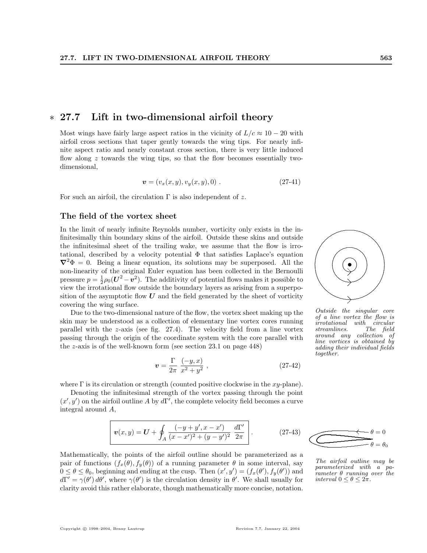# ∗ 27.7 Lift in two-dimensional airfoil theory

Most wings have fairly large aspect ratios in the vicinity of  $L/c \approx 10 - 20$  with airfoil cross sections that taper gently towards the wing tips. For nearly infinite aspect ratio and nearly constant cross section, there is very little induced flow along z towards the wing tips, so that the flow becomes essentially twodimensional,

$$
\mathbf{v} = (v_x(x, y), v_y(x, y), 0) \tag{27-41}
$$

For such an airfoil, the circulation  $\Gamma$  is also independent of z.

#### The field of the vortex sheet

In the limit of nearly infinite Reynolds number, vorticity only exists in the infinitesimally thin boundary skins of the airfoil. Outside these skins and outside the infinitesimal sheet of the trailing wake, we assume that the flow is irrotational, described by a velocity potential  $\Phi$  that satisfies Laplace's equation  $\nabla^2 \Phi = 0$ . Being a linear equation, its solutions may be superposed. All the non-linearity of the original Euler equation has been collected in the Bernoulli pressure  $p = \frac{1}{2}\rho_0(\mathbf{U}^2 - \mathbf{v}^2)$ . The additivity of potential flows makes it possible to view the irrotational flow outside the boundary layers as arising from a superposition of the asymptotic flow  $U$  and the field generated by the sheet of vorticity covering the wing surface.

Due to the two-dimensional nature of the flow, the vortex sheet making up the skin may be understood as a collection of elementary line vortex cores running parallel with the z-axis (see fig. 27.4). The velocity field from a line vortex passing through the origin of the coordinate system with the core parallel with the z-axis is of the well-known form (see section 23.1 on page 448)

$$
v = \frac{\Gamma}{2\pi} \frac{(-y, x)}{x^2 + y^2} , \qquad (27-42)
$$

where  $\Gamma$  is its circulation or strength (counted positive clockwise in the xy-plane).

Denoting the infinitesimal strength of the vortex passing through the point  $(x', y')$  on the airfoil outline A by  $d\Gamma'$ , the complete velocity field becomes a curve integral around A,

$$
\boldsymbol{v}(x,y) = \boldsymbol{U} + \oint_{A} \frac{(-y+y', x-x')}{(x-x')^2 + (y-y')^2} \frac{d\Gamma'}{2\pi} \qquad (27-43)
$$

Mathematically, the points of the airfoil outline should be parameterized as a pair of functions  $(f_x(\theta), f_y(\theta))$  of a running parameter  $\theta$  in some interval, say  $0 \le \theta \le \theta_0$ , beginning and ending at the cusp. Then  $(x', y') = (f_x(\theta'), f_y(\theta'))$  and  $d\Gamma' = \gamma(\theta') d\theta'$ , where  $\gamma(\theta')$  is the circulation density in  $\theta'$ . We shall usually for clarity avoid this rather elaborate, though mathematically more concise, notation.

................  $\theta = \theta_0$ ... .................................. .. ..................... The airfoil outline may be

..... .. .............................................................

...............

parameterized with a parameter θ running over the interval  $0 \leq \theta \leq 2\pi$ .

.

 $\theta = 0$ 

.....................

.................



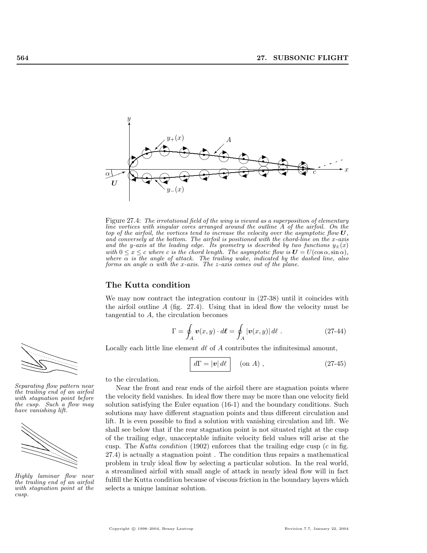

Figure 27.4: The irrotational field of the wing is viewed as a superposition of elementary line vortices with singular cores arranged around the outline A of the airfoil. On the top of the airfoil, the vortices tend to increase the velocity over the asymptotic flow  $U$ , and conversely at the bottom. The airfoil is positioned with the chord-line on the x-axis and the y-axis at the leading edge. Its geometry is described by two functions  $y_{\pm}(x)$ with  $0 \le x \le c$  where c is the chord length. The asymptotic flow is  $U = U(\cos \alpha, \sin \alpha)$ , where  $\overline{\alpha}$  is the angle of attack. The trailing wake, indicated by the dashed line, also forms an angle  $\alpha$  with the x-axis. The z-axis comes out of the plane.

#### The Kutta condition

We may now contract the integration contour in (27-38) until it coincides with the airfoil outline A (fig. 27.4). Using that in ideal flow the velocity must be tangential to A, the circulation becomes

$$
\Gamma = \oint_{A} \boldsymbol{v}(x, y) \cdot d\boldsymbol{\ell} = \oint_{A} |\boldsymbol{v}(x, y)| d\ell.
$$
 (27-44)

Locally each little line element  $d\ell$  of A contributes the infinitesimal amount,

$$
d\Gamma = |\mathbf{v}| \, d\ell \qquad \text{(on } A) \;, \tag{27-45}
$$

to the circulation.

Near the front and rear ends of the airfoil there are stagnation points where the velocity field vanishes. In ideal flow there may be more than one velocity field solution satisfying the Euler equation (16-1) and the boundary conditions. Such solutions may have different stagnation points and thus different circulation and lift. It is even possible to find a solution with vanishing circulation and lift. We shall see below that if the rear stagnation point is not situated right at the cusp of the trailing edge, unacceptable infinite velocity field values will arise at the cusp. The Kutta condition (1902) enforces that the trailing edge cusp (c in fig. 27.4) is actually a stagnation point . The condition thus repairs a mathematical problem in truly ideal flow by selecting a particular solution. In the real world, a streamlined airfoil with small angle of attack in nearly ideal flow will in fact fulfill the Kutta condition because of viscous friction in the boundary layers which selects a unique laminar solution.



Separating flow pattern near the trailing end of an airfoil with stagnation point before the cusp. Such a flow may have vanishing lift.



Highly laminar flow near the trailing end of an airfoil with stagnation point at the cusp.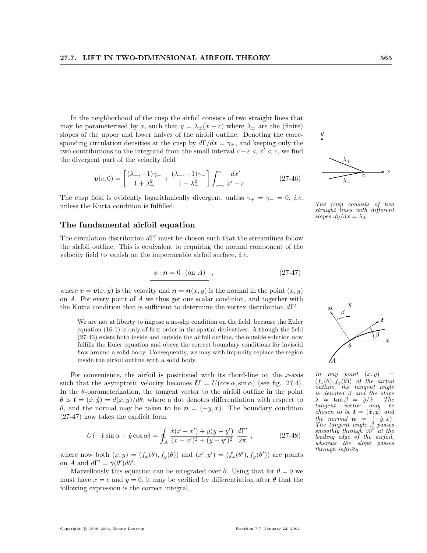In the neighborhood of the cusp the airfoil consists of two straight lines that may be parameterized by x, such that  $y = \lambda_{\pm}(x - c)$  where  $\lambda_{\pm}$  are the (finite) slopes of the upper and lower halves of the airfoil outline. Denoting the corresponding circulation densities at the cusp by  $d\Gamma/dx = \gamma_{+}$ , and keeping only the two contributions to the integrand from the small interval  $c - \epsilon < x' < c$ , we find the divergent part of the velocity field

$$
\boldsymbol{v}(c,0) = \left[ \frac{(\lambda_+, -1)\gamma_+}{1 + \lambda_+^2} + \frac{(\lambda_-, -1)\gamma_-}{1 + \lambda_-^2} \right] \int_{c-\epsilon}^c \frac{dx'}{x' - c} \tag{27-46}
$$

The cusp field is evidently logarithmically divergent, unless  $\gamma_+ = \gamma_- = 0$ , *i.e.* unless the Kutta condition is fulfilled.

#### The fundamental airfoil equation

The circulation distribution  $d\Gamma'$  must be chosen such that the streamlines follow the airfoil outline. This is equivalent to requiring the normal component of the velocity field to vanish on the impermeable airfoil surface, i.e.

$$
\boxed{\boldsymbol{v} \cdot \boldsymbol{n} = 0 \quad (\text{on } A) \quad ,} \tag{27-47}
$$

where  $v = v(x, y)$  is the velocity and  $n = n(x, y)$  is the normal in the point  $(x, y)$ on  $A$ . For every point of  $A$  we thus get one scalar condition, and together with the Kutta condition that is sufficient to determine the vortex distribution  $d\Gamma'$ .

We are not at liberty to impose a no-slip condition on the field, because the Euler equation (16-1) is only of first order in the spatial derivatives. Although the field (27-43) exists both inside and outside the airfoil outline, the outside solution now fulfills the Euler equation and obeys the correct boundary conditions for inviscid flow around a solid body. Consequently, we may with impunity replace the region inside the airfoil outline with a solid body. .

For convenience, the airfoil is positioned with its chord-line on the  $x$ -axis such that the asymptotic velocity becomes  $U = U(\cos \alpha, \sin \alpha)$  (see fig. 27.4). In the  $\theta$ -parameterization, the tangent vector to the airfoil outline in the point  $\theta$  is  $\mathbf{t} = (\dot{x}, \dot{y}) = d(x, y)/d\theta$ , where a dot denotes differentiation with respect to θ, and the normal may be taken to be  $n = (−*j*, *x*)$ . The boundary condition (27-47) now takes the explicit form

$$
U(-\dot{x}\sin\alpha + \dot{y}\cos\alpha) = \oint_A \frac{\dot{x}(x - x') + \dot{y}(y - y')}{(x - x')^2 + (y - y')^2} \frac{d\Gamma'}{2\pi},
$$
 (27-48)

where now both  $(x, y) = (f_x(\theta), f_y(\theta))$  and  $(x', y') = (f_x(\theta'), f_y(\theta'))$  are points on A and  $d\Gamma' = \gamma(\theta')d\theta'$ .

Marvellously this equation can be integrated over  $\theta$ . Using that for  $\theta = 0$  we must have  $x = c$  and  $y = 0$ , it may be verified by differentiation after  $\theta$  that the following expression is the correct integral,

The cusp consists of two straight lines with different slopes  $dy/dx = \lambda_{\pm}$ .

 $\overline{c}$ 

❛❛❛

✻

 $\hat{y}$ 

—<br>—

✥ ❛ ✥  $\Rightarrow$ 

 $\lambda _+$ 

 $\lambda_+$ 



In any point  $(x, y)$  $(f_x(\theta), f_y(\theta))$  of the airfoil outline, the tangent angle is denoted  $\beta$  and the slope  $\lambda$  = tan  $\beta$  =  $\dot{y}/\dot{x}$ . The tangent vector may be chosen to be  $\mathbf{t} = (\dot{x}, \dot{y})$  and the normal  $\mathbf{n} = (-\dot{y}, \dot{x}).$ The tangent angle  $\beta$  passes<br>smoothly through 90° at the leading edge of the airfoil, whereas the slope passes through infinity.

 $\rightarrow$ 

x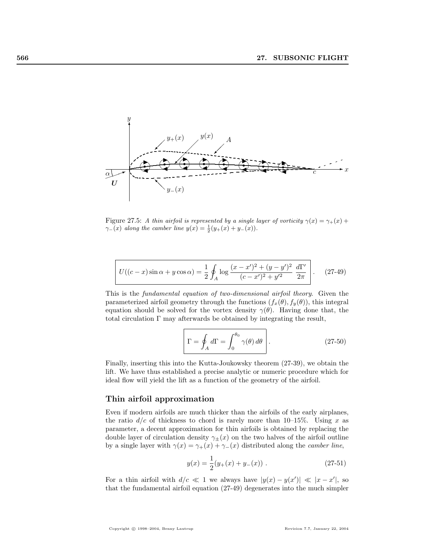

Figure 27.5: A thin airfoil is represented by a single layer of vorticity  $\gamma(x) = \gamma_+(x) +$  $\gamma_{-}(x)$  along the camber line  $y(x) = \frac{1}{2}(y_{+}(x) + y_{-}(x)).$ 

$$
U((c-x)\sin\alpha + y\cos\alpha) = \frac{1}{2}\oint_A \log\frac{(x-x')^2 + (y-y')^2}{(c-x')^2 + y'^2} \frac{d\Gamma'}{2\pi}.
$$
 (27-49)

This is the fundamental equation of two-dimensional airfoil theory. Given the parameterized airfoil geometry through the functions  $(f_x(\theta), f_y(\theta))$ , this integral equation should be solved for the vortex density  $\gamma(\theta)$ . Having done that, the total circulation  $\Gamma$  may afterwards be obtained by integrating the result,

$$
\Gamma = \oint_A d\Gamma = \int_0^{\theta_0} \gamma(\theta) d\theta.
$$
 (27-50)

Finally, inserting this into the Kutta-Joukowsky theorem (27-39), we obtain the lift. We have thus established a precise analytic or numeric procedure which for ideal flow will yield the lift as a function of the geometry of the airfoil.

# Thin airfoil approximation

Even if modern airfoils are much thicker than the airfoils of the early airplanes, the ratio  $d/c$  of thickness to chord is rarely more than 10–15%. Using x as parameter, a decent approximation for thin airfoils is obtained by replacing the double layer of circulation density  $\gamma_{\pm}(x)$  on the two halves of the airfoil outline by a single layer with  $\gamma(x) = \gamma_+(x) + \gamma_-(x)$  distributed along the *camber line*,

$$
y(x) = \frac{1}{2}(y_+(x) + y_-(x)).
$$
 (27-51)

For a thin airfoil with  $d/c \ll 1$  we always have  $|y(x) - y(x')| \ll |x - x'|$ , so that the fundamental airfoil equation (27-49) degenerates into the much simpler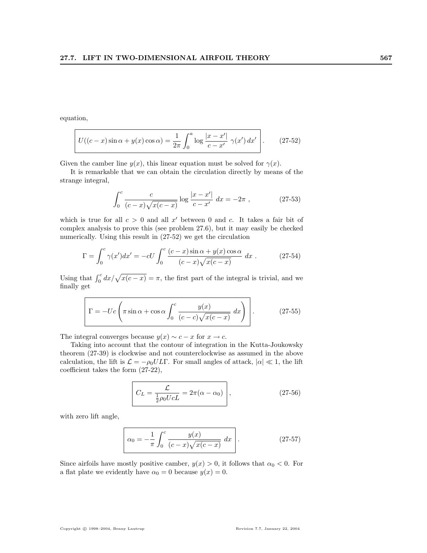equation,

$$
U((c-x)\sin\alpha + y(x)\cos\alpha) = \frac{1}{2\pi} \int_0^a \log\frac{|x-x'|}{c-x'} \gamma(x') dx' \quad . \tag{27-52}
$$

Given the camber line  $y(x)$ , this linear equation must be solved for  $\gamma(x)$ .

It is remarkable that we can obtain the circulation directly by means of the strange integral,

$$
\int_0^c \frac{c}{(c-x)\sqrt{x(c-x)}} \log \frac{|x-x'|}{c-x'} dx = -2\pi , \qquad (27-53)
$$

which is true for all  $c > 0$  and all  $x'$  between 0 and c. It takes a fair bit of complex analysis to prove this (see problem 27.6), but it may easily be checked numerically. Using this result in (27-52) we get the circulation

$$
\Gamma = \int_0^c \gamma(x')dx' = -cU \int_0^c \frac{(c-x)\sin\alpha + y(x)\cos\alpha}{(c-x)\sqrt{x(c-x)}} dx.
$$
 (27-54)

Using that  $\int_0^c dx/\sqrt{x(c-x)} = \pi$ , the first part of the integral is trivial, and we finally get

$$
\Gamma = -Uc \left( \pi \sin \alpha + \cos \alpha \int_0^c \frac{y(x)}{(c-c)\sqrt{x(c-x)}} dx \right).
$$
 (27-55)

The integral converges because  $y(x) \sim c - x$  for  $x \to c$ .

Taking into account that the contour of integration in the Kutta-Joukowsky theorem (27-39) is clockwise and not counterclockwise as assumed in the above calculation, the lift is  $\mathcal{L} = -\rho_0 U L \Gamma$ . For small angles of attack,  $|\alpha| \ll 1$ , the lift coefficient takes the form (27-22),

$$
C_L = \frac{\mathcal{L}}{\frac{1}{2}\rho_0 U c L} = 2\pi (\alpha - \alpha_0) \quad , \tag{27-56}
$$

with zero lift angle,

$$
\alpha_0 = -\frac{1}{\pi} \int_0^c \frac{y(x)}{(c-x)\sqrt{x(c-x)}} dx.
$$
 (27-57)

Since airfoils have mostly positive camber,  $y(x) > 0$ , it follows that  $\alpha_0 < 0$ . For a flat plate we evidently have  $\alpha_0 = 0$  because  $y(x) = 0$ .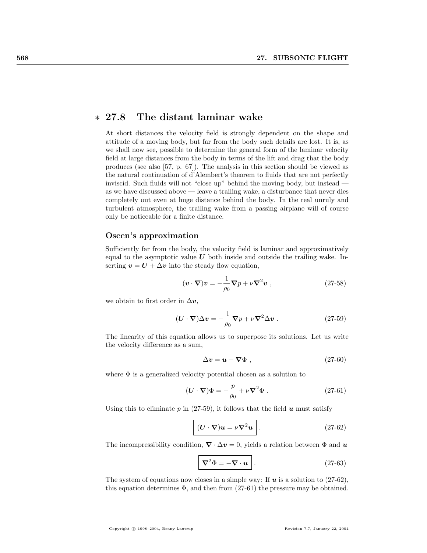# ∗ 27.8 The distant laminar wake

At short distances the velocity field is strongly dependent on the shape and attitude of a moving body, but far from the body such details are lost. It is, as we shall now see, possible to determine the general form of the laminar velocity field at large distances from the body in terms of the lift and drag that the body produces (see also [57, p. 67]). The analysis in this section should be viewed as the natural continuation of d'Alembert's theorem to fluids that are not perfectly inviscid. Such fluids will not "close up" behind the moving body, but instead  $\cdot$ as we have discussed above — leave a trailing wake, a disturbance that never dies completely out even at huge distance behind the body. In the real unruly and turbulent atmosphere, the trailing wake from a passing airplane will of course only be noticeable for a finite distance.

## Oseen's approximation

Sufficiently far from the body, the velocity field is laminar and approximatively equal to the asymptotic value  $U$  both inside and outside the trailing wake. Inserting  $v = U + \Delta v$  into the steady flow equation,

$$
(\mathbf{v} \cdot \nabla)\mathbf{v} = -\frac{1}{\rho_0} \nabla p + \nu \nabla^2 \mathbf{v} , \qquad (27-58)
$$

we obtain to first order in  $\Delta v$ ,

$$
(\mathbf{U} \cdot \mathbf{\nabla}) \Delta \mathbf{v} = -\frac{1}{\rho_0} \mathbf{\nabla} p + \nu \mathbf{\nabla}^2 \Delta \mathbf{v} . \qquad (27-59)
$$

The linearity of this equation allows us to superpose its solutions. Let us write the velocity difference as a sum,

$$
\Delta v = u + \nabla \Phi , \qquad (27-60)
$$

where  $\Phi$  is a generalized velocity potential chosen as a solution to

$$
(\mathbf{U} \cdot \mathbf{\nabla})\Phi = -\frac{p}{\rho_0} + \nu \mathbf{\nabla}^2 \Phi . \qquad (27-61)
$$

Using this to eliminate p in (27-59), it follows that the field  $\boldsymbol{u}$  must satisfy

$$
(U \cdot \nabla)u = \nu \nabla^2 u \qquad (27-62)
$$

The incompressibility condition,  $\nabla \cdot \Delta v = 0$ , yields a relation between  $\Phi$  and  $u$ 

$$
\nabla^2 \Phi = -\nabla \cdot \mathbf{u} \quad . \tag{27-63}
$$

The system of equations now closes in a simple way: If  $u$  is a solution to (27-62), this equation determines  $\Phi$ , and then from (27-61) the pressure may be obtained.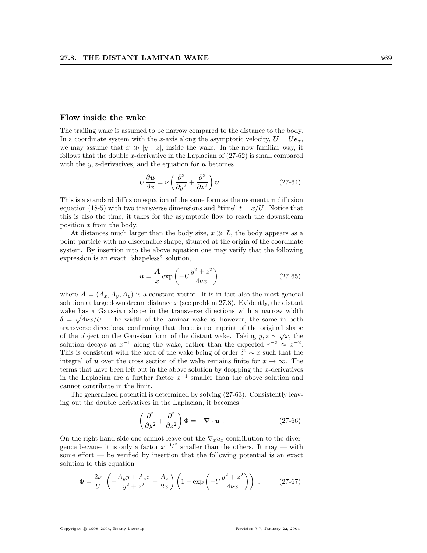#### Flow inside the wake

The trailing wake is assumed to be narrow compared to the distance to the body. In a coordinate system with the x-axis along the asymptotic velocity,  $U = Ue_x$ , we may assume that  $x \gg |y|$ , |z|, inside the wake. In the now familiar way, it follows that the double x-derivative in the Laplacian of (27-62) is small compared with the y, z-derivatives, and the equation for  $u$  becomes

$$
U\frac{\partial \boldsymbol{u}}{\partial x} = \nu \left(\frac{\partial^2}{\partial y^2} + \frac{\partial^2}{\partial z^2}\right) \boldsymbol{u} .
$$
 (27-64)

This is a standard diffusion equation of the same form as the momentum diffusion equation (18-5) with two transverse dimensions and "time"  $t = x/U$ . Notice that this is also the time, it takes for the asymptotic flow to reach the downstream position x from the body.

At distances much larger than the body size,  $x \gg L$ , the body appears as a point particle with no discernable shape, situated at the origin of the coordinate system. By insertion into the above equation one may verify that the following expression is an exact "shapeless" solution,

$$
\mathbf{u} = \frac{\mathbf{A}}{x} \exp\left(-U\frac{y^2 + z^2}{4\nu x}\right) , \qquad (27-65)
$$

where  $\mathbf{A} = (A_x, A_y, A_z)$  is a constant vector. It is in fact also the most general solution at large downstream distance  $x$  (see problem 27.8). Evidently, the distant wake has a Gaussian shape in the transverse directions with a narrow width  $\delta = \sqrt{4\nu x/U}$ . The width of the laminar wake is, however, the same in both transverse directions, confirming that there is no imprint of the original shape of the object on the Gaussian form of the distant wake. Taking  $y, z \sim \sqrt{x}$ , the solution decays as  $x^{-1}$  along the wake, rather than the expected  $r^{-2} \approx x^{-2}$ . This is consistent with the area of the wake being of order  $\delta^2 \sim x$  such that the integral of u over the cross section of the wake remains finite for  $x \to \infty$ . The terms that have been left out in the above solution by dropping the  $x$ -derivatives in the Laplacian are a further factor  $x^{-1}$  smaller than the above solution and cannot contribute in the limit.

The generalized potential is determined by solving (27-63). Consistently leaving out the double derivatives in the Laplacian, it becomes

$$
\left(\frac{\partial^2}{\partial y^2} + \frac{\partial^2}{\partial z^2}\right)\Phi = -\nabla \cdot \mathbf{u} \ . \tag{27-66}
$$

On the right hand side one cannot leave out the  $\nabla_x u_x$  contribution to the divergence because it is only a factor  $x^{-1/2}$  smaller than the others. It may — with some effort — be verified by insertion that the following potential is an exact solution to this equation

$$
\Phi = \frac{2\nu}{U} \left( -\frac{A_y y + A_z z}{y^2 + z^2} + \frac{A_x}{2x} \right) \left( 1 - \exp \left( -U \frac{y^2 + z^2}{4\nu x} \right) \right) . \tag{27-67}
$$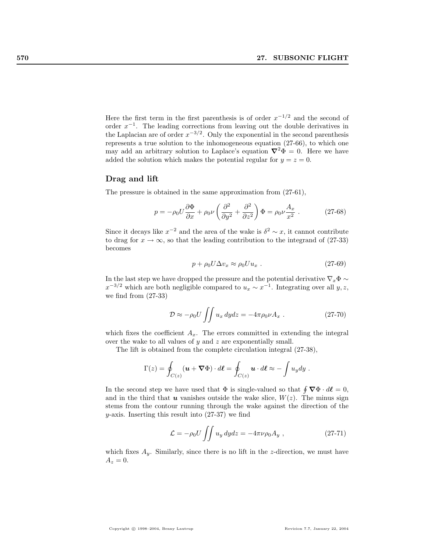Here the first term in the first parenthesis is of order  $x^{-1/2}$  and the second of order  $x^{-1}$ . The leading corrections from leaving out the double derivatives in the Laplacian are of order  $x^{-3/2}$ . Only the exponential in the second parenthesis represents a true solution to the inhomogeneous equation (27-66), to which one may add an arbitrary solution to Laplace's equation  $\nabla^2 \Phi = 0$ . Here we have added the solution which makes the potential regular for  $y = z = 0$ .

#### Drag and lift

The pressure is obtained in the same approximation from (27-61),

$$
p = -\rho_0 U \frac{\partial \Phi}{\partial x} + \rho_0 \nu \left( \frac{\partial^2}{\partial y^2} + \frac{\partial^2}{\partial z^2} \right) \Phi = \rho_0 \nu \frac{A_x}{x^2} . \tag{27-68}
$$

Since it decays like  $x^{-2}$  and the area of the wake is  $\delta^2 \sim x$ , it cannot contribute to drag for  $x \to \infty$ , so that the leading contribution to the integrand of (27-33) becomes

$$
p + \rho_0 U \Delta v_x \approx \rho_0 U u_x \tag{27-69}
$$

In the last step we have dropped the pressure and the potential derivative  $\nabla_x \Phi \sim$  $x^{-3/2}$  which are both negligible compared to  $u_x \sim x^{-1}$ . Integrating over all  $y, z$ , we find from (27-33)

$$
\mathcal{D} \approx -\rho_0 U \iint u_x \, dydz = -4\pi \rho_0 \nu A_x \,. \tag{27-70}
$$

which fixes the coefficient  $A_x$ . The errors committed in extending the integral over the wake to all values of  $y$  and  $z$  are exponentially small.

The lift is obtained from the complete circulation integral (27-38),

$$
\Gamma(z) = \oint_{C(z)} (\mathbf{u} + \nabla \Phi) \cdot d\mathbf{\ell} = \oint_{C(z)} \mathbf{u} \cdot d\mathbf{\ell} \approx -\int u_y dy.
$$

In the second step we have used that  $\Phi$  is single-valued so that  $\oint \nabla \Phi \cdot d\ell = 0$ , and in the third that u vanishes outside the wake slice,  $W(z)$ . The minus sign stems from the contour running through the wake against the direction of the y-axis. Inserting this result into (27-37) we find

$$
\mathcal{L} = -\rho_0 U \iint u_y \, dydz = -4\pi \nu \rho_0 A_y , \qquad (27-71)
$$

which fixes  $A_y$ . Similarly, since there is no lift in the z-direction, we must have  $A_z = 0.$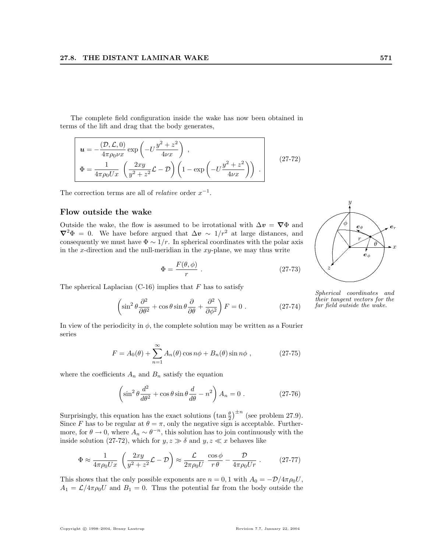The complete field configuration inside the wake has now been obtained in terms of the lift and drag that the body generates,

$$
\mathbf{u} = -\frac{(\mathcal{D}, \mathcal{L}, 0)}{4\pi \rho_0 \nu x} \exp\left(-U\frac{y^2 + z^2}{4\nu x}\right) ,
$$
  

$$
\Phi = \frac{1}{4\pi \rho_0 U x} \left(\frac{2xy}{y^2 + z^2} \mathcal{L} - \mathcal{D}\right) \left(1 - \exp\left(-U\frac{y^2 + z^2}{4\nu x}\right)\right) .
$$
 (27-72)

The correction terms are all of *relative* order  $x^{-1}$ .

## Flow outside the wake

Outside the wake, the flow is assumed to be irrotational with  $\Delta v = \nabla \Phi$  and  $\nabla^2 \Phi = 0$ . We have before argued that  $\Delta v \sim 1/r^2$  at large distances, and consequently we must have  $\Phi \sim 1/r$ . In spherical coordinates with the polar axis in the x-direction and the null-meridian in the  $xy$ -plane, we may thus write

$$
\Phi = \frac{F(\theta, \phi)}{r} \tag{27-73}
$$

The spherical Laplacian  $(C-16)$  implies that F has to satisfy

$$
\left(\sin^2\theta \frac{\partial^2}{\partial \theta^2} + \cos\theta \sin\theta \frac{\partial}{\partial \theta} + \frac{\partial^2}{\partial \phi^2}\right) F = 0.
$$
\n(27-74)

\nwhere *tan* coordinates and *the* coordinates of the function *tan* and *tan* vectors for the function *tan* and *tan* are the values.

In view of the periodicity in  $\phi$ , the complete solution may be written as a Fourier series

$$
F = A_0(\theta) + \sum_{n=1}^{\infty} A_n(\theta) \cos n\phi + B_n(\theta) \sin n\phi , \qquad (27-75)
$$

where the coefficients  $A_n$  and  $B_n$  satisfy the equation

$$
\left(\sin^2\theta \frac{d^2}{d\theta^2} + \cos\theta \sin\theta \frac{d}{d\theta} - n^2\right) A_n = 0.
$$
 (27-76)

Surprisingly, this equation has the exact solutions (tan  $\frac{\theta}{2}$  $\int^{\pm n}$  (see problem 27.9). Since F has to be regular at  $\theta = \pi$ , only the negative sign is acceptable. Furthermore, for  $\theta \to 0$ , where  $A_n \sim \theta^{-n}$ , this solution has to join continuously with the inside solution (27-72), which for  $y, z \gg \delta$  and  $y, z \ll x$  behaves like

$$
\Phi \approx \frac{1}{4\pi\rho_0 U x} \left( \frac{2xy}{y^2 + z^2} \mathcal{L} - \mathcal{D} \right) \approx \frac{\mathcal{L}}{2\pi\rho_0 U} \frac{\cos\phi}{r\theta} - \frac{\mathcal{D}}{4\pi\rho_0 U r} . \tag{27-77}
$$

This shows that the only possible exponents are  $n = 0, 1$  with  $A_0 = -\mathcal{D}/4\pi\rho_0 U$ ,  $A_1 = \mathcal{L}/4\pi\rho_0 U$  and  $B_1 = 0$ . Thus the potential far from the body outside the



Spherical coordinates and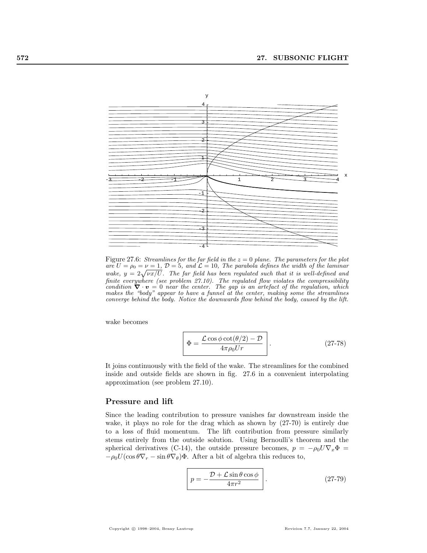

Figure 27.6: Streamlines for the far field in the  $z = 0$  plane. The parameters for the plot are  $U = \rho_0 = \nu = 1, \mathcal{D} = 5$ , and  $\mathcal{L} = 10$ , The parabola defines the width of the laminar wake,  $y = 2\sqrt{\nu x/U}$ . The far field has been regulated such that it is well-defined and finite everywhere (see problem 27.10). The regulated flow violates the compressibility condition  $\nabla \cdot \mathbf{v} = 0$  near the center. The gap is an artefact of the regulation, which makes the "body" appear to have a funnel at the center, making some the streamlines converge behind the body. Notice the downwards flow behind the body, caused by the lift.

wake becomes

$$
\Phi = \frac{\mathcal{L}\cos\phi\cot(\theta/2) - \mathcal{D}}{4\pi\rho_0 Ur} \ . \tag{27-78}
$$

It joins continuously with the field of the wake. The streamlines for the combined inside and outside fields are shown in fig. 27.6 in a convenient interpolating approximation (see problem 27.10).

#### Pressure and lift

Since the leading contribution to pressure vanishes far downstream inside the wake, it plays no role for the drag which as shown by (27-70) is entirely due to a loss of fluid momentum. The lift contribution from pressure similarly stems entirely from the outside solution. Using Bernoulli's theorem and the spherical derivatives (C-14), the outside pressure becomes,  $p = -\rho_0 U \nabla_x \Phi =$  $-\rho_0 U(\cos\theta \nabla_r - \sin\theta \nabla_\theta)\Phi$ . After a bit of algebra this reduces to,

$$
\boxed{p = -\frac{\mathcal{D} + \mathcal{L}\sin\theta\cos\phi}{4\pi r^2}}.
$$
 (27-79)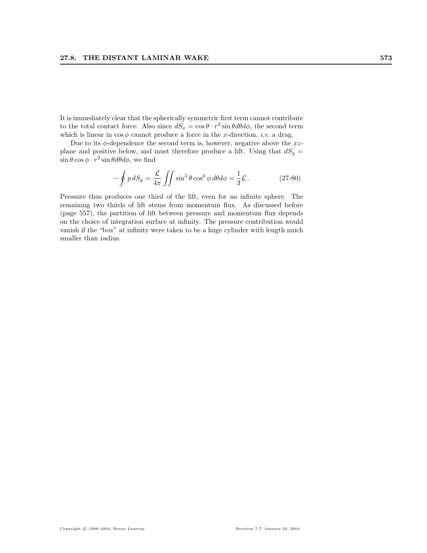It is immediately clear that the spherically symmetric first term cannot contribute to the total contact force. Also since  $dS_x = \cos\theta \cdot r^2 \sin\theta d\theta d\phi$ , the second term which is linear in  $\cos \phi$  cannot produce a force in the x-direction, *i.e.* a drag.

Due to its  $\phi$ -dependence the second term is, however, negative above the  $xz$ plane and positive below, and must therefore produce a lift. Using that  $dS_y =$  $\sin \theta \cos \phi \cdot r^2 \sin \theta d\theta d\phi$ , we find

$$
-\oint p\,dS_y = \frac{\mathcal{L}}{4\pi} \iint \sin^3 \theta \cos^2 \phi \,d\theta d\phi = \frac{1}{3}\mathcal{L} \,. \tag{27-80}
$$

Pressure thus produces one third of the lift, even for an infinite sphere. The remaining two thirds of lift stems from momentum flux. As discussed before (page 557), the partition of lift between pressure and momentum flux depends on the choice of integration surface at infinity. The pressure contribution would vanish if the "box" at infinity were taken to be a huge cylinder with length much smaller than radius.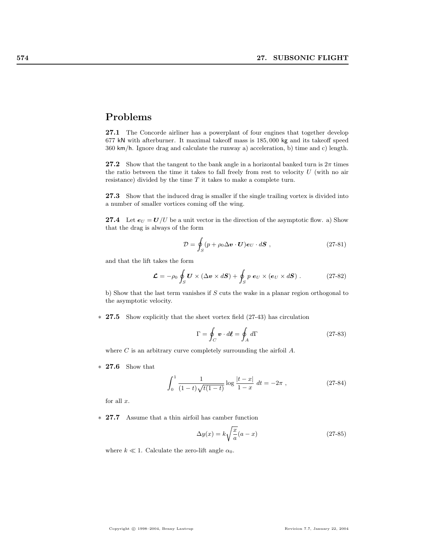# Problems

27.1 The Concorde airliner has a powerplant of four engines that together develop 677 kN with afterburner. It maximal takeoff mass is 185, 000 kg and its takeoff speed 360 km/h. Ignore drag and calculate the runway a) acceleration, b) time and c) length.

27.2 Show that the tangent to the bank angle in a horizontal banked turn is  $2\pi$  times the ratio between the time it takes to fall freely from rest to velocity  $U$  (with no air resistance) divided by the time  $T$  it takes to make a complete turn.

27.3 Show that the induced drag is smaller if the single trailing vortex is divided into a number of smaller vortices coming off the wing.

**27.4** Let  $e_U = U/U$  be a unit vector in the direction of the asymptotic flow. a) Show that the drag is always of the form

$$
\mathcal{D} = \oint_{S} (p + \rho_0 \Delta \mathbf{v} \cdot \mathbf{U}) \mathbf{e}_U \cdot d\mathbf{S} , \qquad (27-81)
$$

and that the lift takes the form

$$
\mathcal{L} = -\rho_0 \oint_S \mathbf{U} \times (\Delta \mathbf{v} \times d\mathbf{S}) + \oint_S p \mathbf{e}_U \times (\mathbf{e}_U \times d\mathbf{S}) \ . \tag{27-82}
$$

b) Show that the last term vanishes if  $S$  cuts the wake in a planar region orthogonal to the asymptotic velocity.

∗ 27.5 Show explicitly that the sheet vortex field (27-43) has circulation

$$
\Gamma = \oint_C \mathbf{v} \cdot d\boldsymbol{\ell} = \oint_A d\Gamma \tag{27-83}
$$

where  $C$  is an arbitrary curve completely surrounding the airfoil  $A$ .

∗ 27.6 Show that

$$
\int_0^1 \frac{1}{(1-t)\sqrt{t(1-t)}} \log \frac{|t-x|}{1-x} dt = -2\pi , \qquad (27-84)
$$

for all  $x$ .

∗ 27.7 Assume that a thin airfoil has camber function

$$
\Delta y(x) = k \sqrt{\frac{x}{a}} (a - x) \tag{27-85}
$$

where  $k \ll 1$ . Calculate the zero-lift angle  $\alpha_0$ .